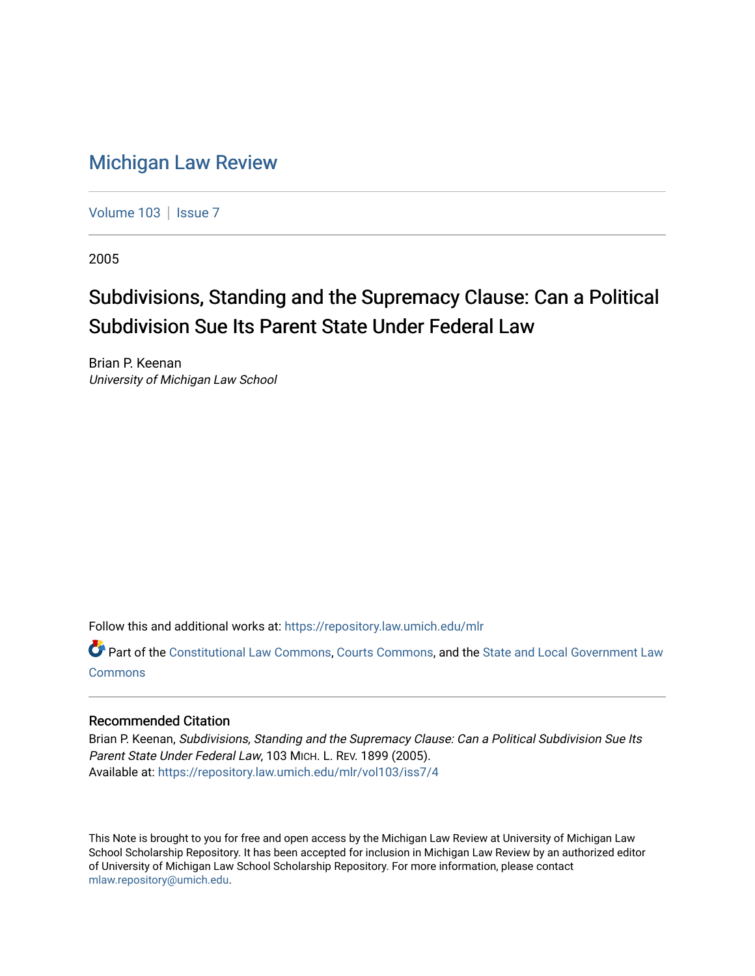# [Michigan Law Review](https://repository.law.umich.edu/mlr)

[Volume 103](https://repository.law.umich.edu/mlr/vol103) | [Issue 7](https://repository.law.umich.edu/mlr/vol103/iss7)

2005

# Subdivisions, Standing and the Supremacy Clause: Can a Political Subdivision Sue Its Parent State Under Federal Law

Brian P. Keenan University of Michigan Law School

Follow this and additional works at: [https://repository.law.umich.edu/mlr](https://repository.law.umich.edu/mlr?utm_source=repository.law.umich.edu%2Fmlr%2Fvol103%2Fiss7%2F4&utm_medium=PDF&utm_campaign=PDFCoverPages) 

Part of the [Constitutional Law Commons,](http://network.bepress.com/hgg/discipline/589?utm_source=repository.law.umich.edu%2Fmlr%2Fvol103%2Fiss7%2F4&utm_medium=PDF&utm_campaign=PDFCoverPages) [Courts Commons,](http://network.bepress.com/hgg/discipline/839?utm_source=repository.law.umich.edu%2Fmlr%2Fvol103%2Fiss7%2F4&utm_medium=PDF&utm_campaign=PDFCoverPages) and the [State and Local Government Law](http://network.bepress.com/hgg/discipline/879?utm_source=repository.law.umich.edu%2Fmlr%2Fvol103%2Fiss7%2F4&utm_medium=PDF&utm_campaign=PDFCoverPages) [Commons](http://network.bepress.com/hgg/discipline/879?utm_source=repository.law.umich.edu%2Fmlr%2Fvol103%2Fiss7%2F4&utm_medium=PDF&utm_campaign=PDFCoverPages)

## Recommended Citation

Brian P. Keenan, Subdivisions, Standing and the Supremacy Clause: Can a Political Subdivision Sue Its Parent State Under Federal Law, 103 MICH. L. REV. 1899 (2005). Available at: [https://repository.law.umich.edu/mlr/vol103/iss7/4](https://repository.law.umich.edu/mlr/vol103/iss7/4?utm_source=repository.law.umich.edu%2Fmlr%2Fvol103%2Fiss7%2F4&utm_medium=PDF&utm_campaign=PDFCoverPages) 

This Note is brought to you for free and open access by the Michigan Law Review at University of Michigan Law School Scholarship Repository. It has been accepted for inclusion in Michigan Law Review by an authorized editor of University of Michigan Law School Scholarship Repository. For more information, please contact [mlaw.repository@umich.edu.](mailto:mlaw.repository@umich.edu)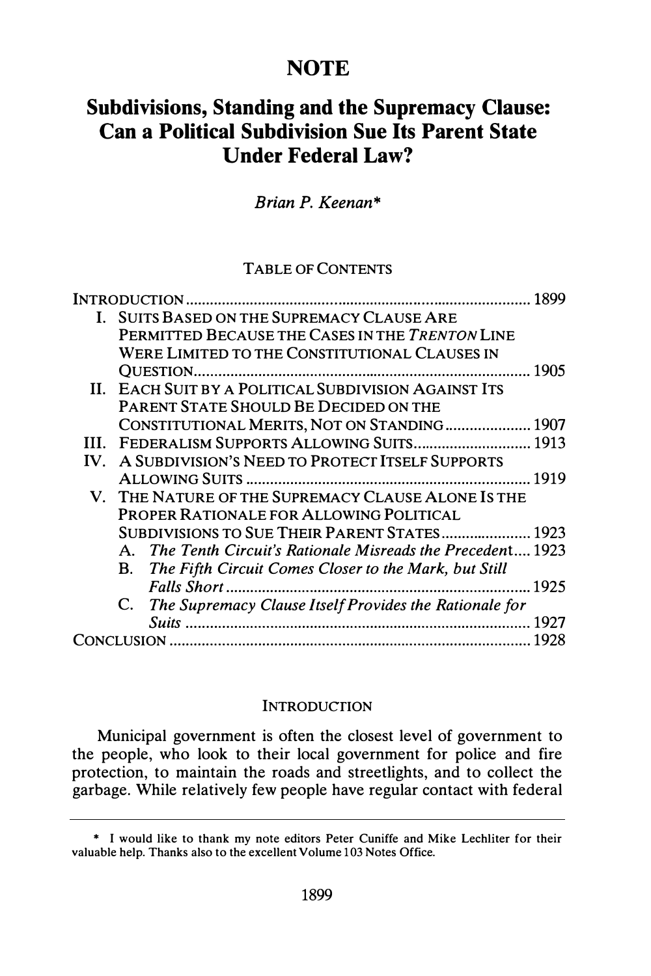## **NOTE**

# Subdivisions, Standing and the Supremacy Clause: Can a Political Subdivision Sue Its Parent State Under Federal Law?

## Brian P. Keenan\*

### TABLE OF CONTENTS

|  |                                              |                                                              | 1899 |
|--|----------------------------------------------|--------------------------------------------------------------|------|
|  | I. SUITS BASED ON THE SUPREMACY CLAUSE ARE   |                                                              |      |
|  |                                              | PERMITTED BECAUSE THE CASES IN THE TRENTON LINE              |      |
|  |                                              | WERE LIMITED TO THE CONSTITUTIONAL CLAUSES IN                |      |
|  |                                              |                                                              | 1905 |
|  |                                              | II. EACH SUIT BY A POLITICAL SUBDIVISION AGAINST ITS         |      |
|  |                                              | PARENT STATE SHOULD BE DECIDED ON THE                        |      |
|  |                                              | CONSTITUTIONAL MERITS, NOT ON STANDING  1907                 |      |
|  |                                              | III. FEDERALISM SUPPORTS ALLOWING SUITS 1913                 |      |
|  |                                              | IV. A SUBDIVISION'S NEED TO PROTECT ITSELF SUPPORTS          |      |
|  |                                              |                                                              | 1919 |
|  |                                              | V. THE NATURE OF THE SUPREMACY CLAUSE ALONE IS THE           |      |
|  | PROPER RATIONALE FOR ALLOWING POLITICAL      |                                                              |      |
|  | SUBDIVISIONS TO SUE THEIR PARENT STATES 1923 |                                                              |      |
|  |                                              | A. The Tenth Circuit's Rationale Misreads the Precedent 1923 |      |
|  |                                              | B. The Fifth Circuit Comes Closer to the Mark, but Still     |      |
|  |                                              |                                                              |      |
|  |                                              | C. The Supremacy Clause Itself Provides the Rationale for    |      |
|  |                                              |                                                              |      |
|  |                                              |                                                              | 1928 |

#### **INTRODUCTION**

Municipal government is often the closest level of government to the people, who look to their local government for police and fire protection, to maintain the roads and streetlights, and to collect the garbage. While relatively few people have regular contact with federal

<sup>\*</sup> I would like to thank my note editors Peter Cuniffe and Mike Lechliter for their valuable help. Thanks also to the excellent Volume 103 Notes Office.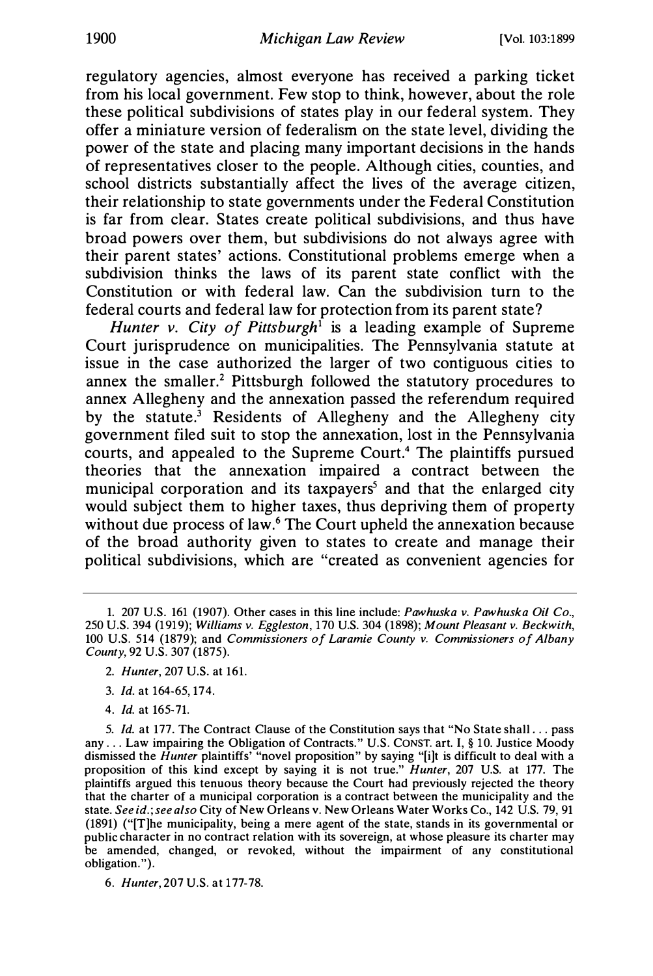regulatory agencies, almost everyone has received a parking ticket from his local government. Few stop to think, however, about the role these political subdivisions of states play in our federal system. They offer a miniature version of federalism on the state level, dividing the power of the state and placing many important decisions in the hands of representatives closer to the people. Although cities, counties, and school districts substantially affect the lives of the average citizen, their relationship to state governments under the Federal Constitution is far from clear. States create political subdivisions, and thus have broad powers over them, but subdivisions do not always agree with their parent states' actions. Constitutional problems emerge when a subdivision thinks the laws of its parent state conflict with the Constitution or with federal law. Can the subdivision turn to the federal courts and federal law for protection from its parent state?

Hunter v. City of Pittsburgh<sup>1</sup> is a leading example of Supreme Court jurisprudence on municipalities. The Pennsylvania statute at issue in the case authorized the larger of two contiguous cities to annex the smaller.<sup>2</sup> Pittsburgh followed the statutory procedures to annex Allegheny and the annexation passed the referendum required by the statute.<sup>3</sup> Residents of Allegheny and the Allegheny city government filed suit to stop the annexation, lost in the Pennsylvania courts, and appealed to the Supreme Court.<sup>4</sup> The plaintiffs pursued theories that the annexation impaired a contract between the municipal corporation and its taxpayers<sup>5</sup> and that the enlarged city would subject them to higher taxes, thus depriving them of property without due process of law.<sup>6</sup> The Court upheld the annexation because of the broad authority given to states to create and manage their political subdivisions, which are "created as convenient agencies for

- 3. Id. at 164-65, 174.
- 4. Id. at 165-71.

6. Hunter, 207 U.S. at 177-78.

<sup>1. 207</sup> U.S. 161 (1907). Other cases in this line include: Pawhuska v. Pawhuska Oil Co., 250 U.S. 394 (1919); Williams v. Eggleston, 170 U.S. 304 (1898); Mount Pleasant v. Beckwith, 100 U.S. 514 (1879); and Commissioners of Laramie County v. Commissioners of Albany County, 92 U.S. 307 (1875).

<sup>2.</sup> Hunter, 207 U.S. at 161.

<sup>5.</sup> Id. at 177. The Contract Clause of the Constitution says that "No State shall ... pass any ... Law impairing the Obligation of Contracts." U.S. CONST. art. I,§ 10. Justice Moody dismissed the *Hunter* plaintiffs' "novel proposition" by saying "[i]t is difficult to deal with a proposition of this kind except by saying it is not true." Hunter, 207 U.S. at 177. The plaintiffs argued this tenuous theory because the Court had previously rejected the theory that the charter of a municipal corporation is a contract between the municipality and the state. See id.; see also City of New Orleans v. New Orleans Water Works Co., 142 U.S. 79, 91 (1891) ("[T]he municipality, being a mere agent of the state, stands in its governmental or public character in no contract relation with its sovereign, at whose pleasure its charter may be amended, changed, or revoked, without the impairment of any constitutional obligation.").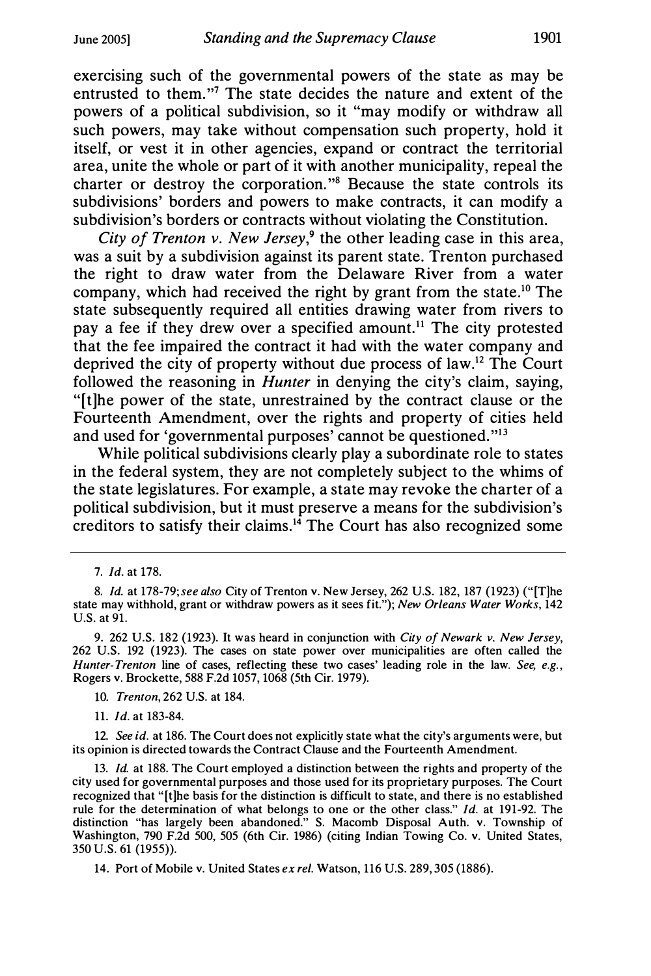exercising such of the governmental powers of the state as may be entrusted to them."<sup>7</sup> The state decides the nature and extent of the powers of a political subdivision, so it "may modify or withdraw all such powers, may take without compensation such property, hold it itself, or vest it in other agencies, expand or contract the territorial area, unite the whole or part of it with another municipality, repeal the charter or destroy the corporation. "8 Because the state controls its subdivisions' borders and powers to make contracts, it can modify a subdivision's borders or contracts without violating the Constitution.

City of Trenton v. New Jersey,<sup>9</sup> the other leading case in this area, was a suit by a subdivision against its parent state. Trenton purchased the right to draw water from the Delaware River from a water company, which had received the right by grant from the state.<sup>10</sup> The state subsequently required all entities drawing water from rivers to pay a fee if they drew over a specified amount.<sup>11</sup> The city protested that the fee impaired the contract it had with the water company and deprived the city of property without due process of law.<sup>12</sup> The Court followed the reasoning in *Hunter* in denying the city's claim, saying, "[t]he power of the state, unrestrained by the contract clause or the Fourteenth Amendment, over the rights and property of cities held and used for 'governmental purposes' cannot be questioned."<sup>13</sup>

While political subdivisions clearly play a subordinate role to states in the federal system, they are not completely subject to the whims of the state legislatures. For example, a state may revoke the charter of a political subdivision, but it must preserve a means for the subdivision's creditors to satisfy their claims. $14$  The Court has also recognized some

10. Trenton, 262 U.S. at 184.

11. Id. at 183-84.

12. See id. at 186. The Court does not explicitly state what the city's arguments were, but its opinion is directed towards the Contract Clause and the Fourteenth Amendment.

13. *Id.* at 188. The Court employed a distinction between the rights and property of the city used for governmental purposes and those used for its proprietary purposes. The Court recognized that "[t]he basis for the distinction is difficult to state, and there is no established rule for the determination of what belongs to one or the other class." Id. at 191-92. The distinction "has largely been abandoned." S. Macomb Disposal Auth. v. Township of Washington, 790 F.2d 500, 505 (6th Cir. 1986) (citing Indian Towing Co. v. United States, 350 U.S. 61 (1955)).

14. Port of Mobile v. United States ex rel. Watson, 116 U.S. 289, 305 (1886).

<sup>7.</sup> Id. at 178.

<sup>8.</sup> Id. at 178-79; see also City of Trenton v. New Jersey, 262 U.S. 182, 187 (1923) ("[T]he state may withhold, grant or withdraw powers as it sees fit."); New Orleans Water Works, 142 U.S. at 91.

<sup>9. 262</sup> U.S. 182 (1923). It was heard in conjunction with City of Newark v. New Jersey, 262 U.S. 192 (1923). The cases on state power over municipalities are often called the Hunter-Trenton line of cases, reflecting these two cases' leading role in the law. See, e.g., Rogers v. Brockette, 588 F.2d 1057, 1068 (5th Cir. 1979).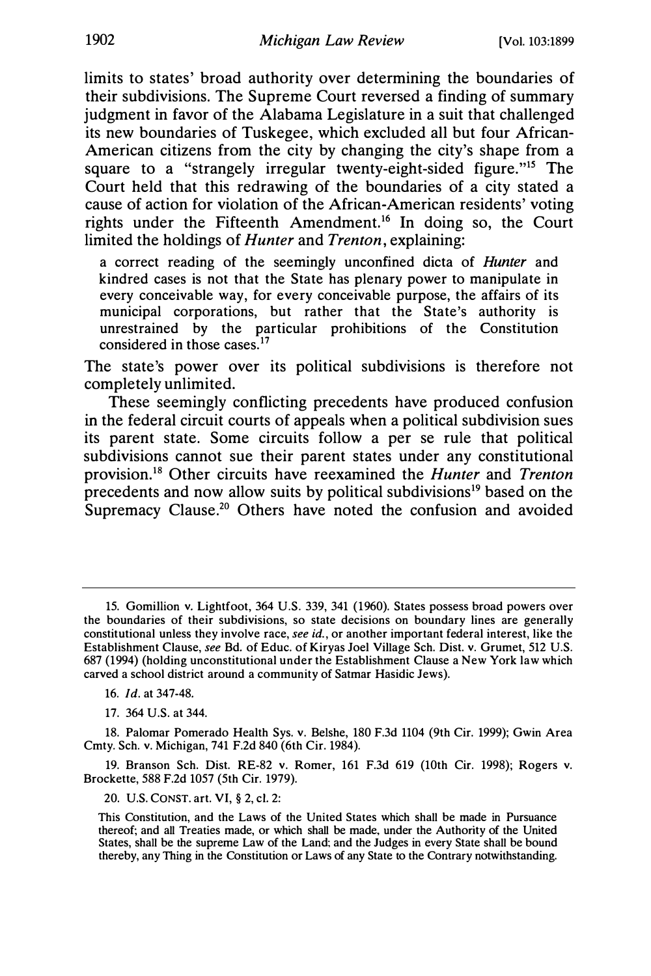limits to states' broad authority over determining the boundaries of their subdivisions. The Supreme Court reversed a finding of summary judgment in favor of the Alabama Legislature in a suit that challenged its new boundaries of Tuskegee, which excluded all but four African-American citizens from the city by changing the city's shape from a square to a "strangely irregular twenty-eight-sided figure."<sup>15</sup> The Court held that this redrawing of the boundaries of a city stated a cause of action for violation of the African-American residents' voting rights under the Fifteenth Amendment.<sup>16</sup> In doing so, the Court limited the holdings of Hunter and Trenton, explaining:

a correct reading of the seemingly unconfined dicta of Hunter and kindred cases is not that the State has plenary power to manipulate in every conceivable way, for every conceivable purpose, the affairs of its municipal corporations, but rather that the State's authority is unrestrained by the particular prohibitions of the Constitution considered in those cases.<sup>17</sup>

The state's power over its political subdivisions is therefore not completely unlimited.

These seemingly conflicting precedents have produced confusion in the federal circuit courts of appeals when a political subdivision sues its parent state. Some circuits follow a per se rule that political subdivisions cannot sue their parent states under any constitutional provision.18 Other circuits have reexamined the Hunter and Trenton precedents and now allow suits by political subdivisions<sup>19</sup> based on the Supremacy Clause.<sup>20</sup> Others have noted the confusion and avoided

18. Palomar Pomerado Health Sys. v. Belshe, 180 F.3d 1104 (9th Cir. 1999); Gwin Area Cmty. Sch. v. Michigan, 741 F.2d 840 (6th Cir. 1984).

19. Branson Sch. Dist. RE-82 v. Romer, 161 F.3d 619 (10th Cir. 1998); Rogers v. Brockette, 588 F.2d 1057 (5th Cir. 1979).

20. U.S. CONST. art. VI, § 2, cl. 2:

<sup>15.</sup> Gomillion v. Lightfoot, 364 U.S. 339, 341 (1960). States possess broad powers over the boundaries of their subdivisions, so state decisions on boundary lines are generally constitutional unless they involve race, see id., or another important federal interest, like the Establishment Clause, see Bd. of Educ. of Kiryas Joel Village Sch. Dist. v. Grumet, 512 U.S. 687 (1994) (holding unconstitutional under the Establishment Clause a New York law which carved a school district around a community of Satmar Hasidic Jews).

<sup>16.</sup> Id. at 347-48.

<sup>17. 364</sup> U.S. at 344.

This Constitution, and the Laws of the United States which shall be made in Pursuance thereof; and all Treaties made, or which shall be made, under the Authority of the United States, shall be the supreme Law of the Land; and the Judges in every State shall be bound thereby, any Thing in the Constitution or Laws of any State to the Contrary notwithstanding.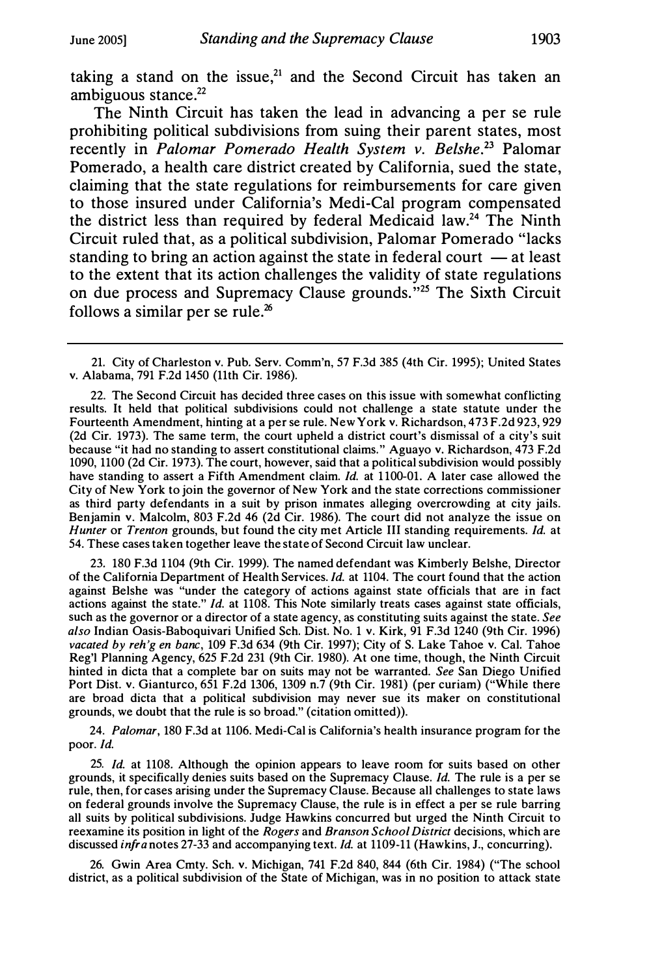taking a stand on the issue,<sup>21</sup> and the Second Circuit has taken an ambiguous stance. $22$ 

The Ninth Circuit has taken the lead in advancing a per se rule prohibiting political subdivisions from suing their parent states, most recently in Palomar Pomerado Health System v. Belshe.<sup>23</sup> Palomar Pomerado, a health care district created by California, sued the state, claiming that the state regulations for reimbursements for care given to those insured under California's Medi-Cal program compensated the district less than required by federal Medicaid law.<sup>24</sup> The Ninth Circuit ruled that, as a political subdivision, Palomar Pomerado "lacks standing to bring an action against the state in federal court  $-$  at least to the extent that its action challenges the validity of state regulations on due process and Supremacy Clause grounds."<sup>25</sup> The Sixth Circuit follows a similar per se rule. $26$ 

23. 180 F.3d 1104 (9th Cir. 1999). The named defendant was Kimberly Belshe, Director of the California Department of Health Services. Id. at 1104. The court found that the action against Belshe was "under the category of actions against state officials that are in fact actions against the state." Id. at 1108. This Note similarly treats cases against state officials, such as the governor or a director of a state agency, as constituting suits against the state. See also Indian Oasis-Baboquivari Unified Sch. Dist. No. 1 v. Kirk, 91 F.3d 1240 (9th Cir. 1996) vacated by reh'g en bane, 109 F.3d 634 (9th Cir. 1997); City of S. Lake Tahoe v. Cal. Tahoe Reg'l Planning Agency, 625 F.2d 231 (9th Cir. 1980). At one time, though, the Ninth Circuit hinted in dicta that a complete bar on suits may not be warranted. See San Diego Unified Port Dist. v. Gianturco, 651 F.2d 1306, 1309 n.7 (9th Cir. 1981) (per curiam) ("While there are broad dicta that a political subdivision may never sue its maker on constitutional grounds, we doubt that the rule is so broad." (citation omitted)).

24. Palomar, 180 F.3d at 1106. Medi-Cal is California's health insurance program for the poor. Id.

25. Id. at 1108. Although the opinion appears to leave room for suits based on other grounds, it specifically denies suits based on the Supremacy Clause. Id. The rule is a per se rule, then, for cases arising under the Supremacy Clause. Because all challenges to state laws on federal grounds involve the Supremacy Clause, the rule is in effect a per se rule barring all suits by political subdivisions. Judge Hawkins concurred but urged the Ninth Circuit to reexamine its position in light of the Rogers and Branson School District decisions, which are discussed *infra* notes 27-33 and accompanying text. *Id.* at 1109-11 (Hawkins, J., concurring).

26. Gwin Area Cmty. Sch. v. Michigan, 741 F.2d 840, 844 (6th Cir. 1984) ("The school district, as a political subdivision of the State of Michigan, was in no position to attack state

<sup>21.</sup> City of Charleston v. Pub. Serv. Comm'n, 57 F.3d 385 (4th Cir. 1995); United States v. Alabama, 791 F.2d 1450 (11th Cir. 1986).

<sup>22.</sup> The Second Circuit has decided three cases on this issue with somewhat conflicting results. It held that political subdivisions could not challenge a state statute under the Fourteenth Amendment, hinting at a per se rule. New York v. Richardson, 473 F.2d 923, 929 (2d Cir. 1973). The same term, the court upheld a district court's dismissal of a city's suit because "it had no standing to assert constitutional claims." Aguayo v. Richardson, 473 F.2d 1090, 1100 (2d Cir. 1973). The court, however, said that a political subdivision would possibly have standing to assert a Fifth Amendment claim. Id. at 1100-01. A later case allowed the City of New York to join the governor of New York and the state corrections commissioner as third party defendants in a suit by prison inmates alleging overcrowding at city jails. Benjamin v. Malcolm, 803 F.2d 46 (2d Cir. 1986). The court did not analyze the issue on Hunter or Trenton grounds, but found the city met Article III standing requirements. Id. at 54. These cases taken together leave the state of Second Circuit law unclear.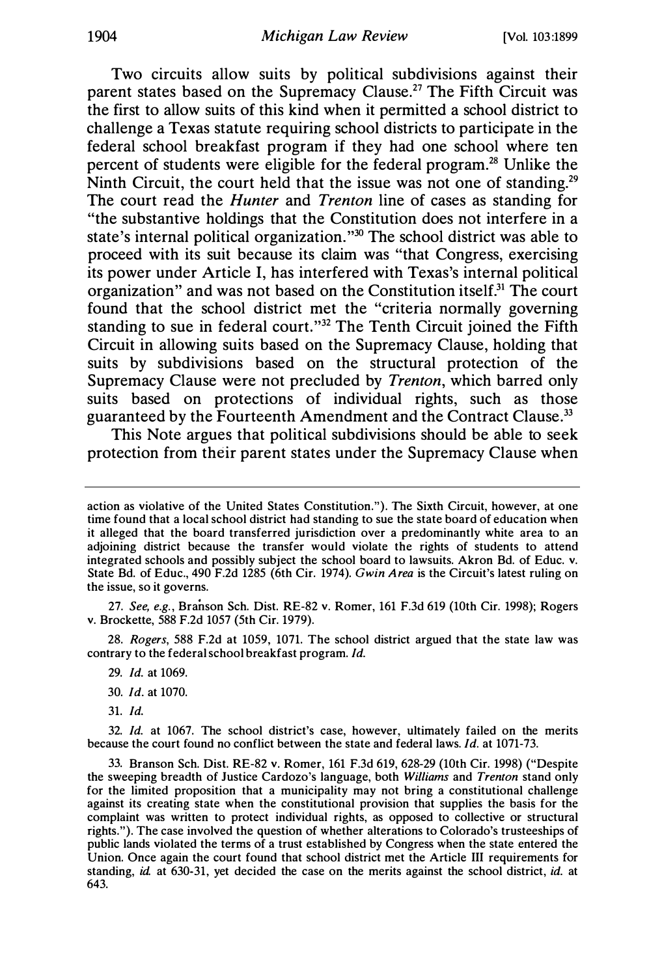Two circuits allow suits by political subdivisions against their parent states based on the Supremacy Clause.<sup>27</sup> The Fifth Circuit was the first to allow suits of this kind when it permitted a school district to challenge a Texas statute requiring school districts to participate in the federal school breakfast program if they had one school where ten percent of students were eligible for the federal program.28 Unlike the Ninth Circuit, the court held that the issue was not one of standing.<sup>29</sup> The court read the *Hunter* and *Trenton* line of cases as standing for "the substantive holdings that the Constitution does not interfere in a state's internal political organization."30 The school district was able to proceed with its suit because its claim was "that Congress, exercising its power under Article I, has interfered with Texas's internal political organization" and was not based on the Constitution itself.<sup>31</sup> The court found that the school district met the "criteria normally governing standing to sue in federal court."32 The Tenth Circuit joined the Fifth Circuit in allowing suits based on the Supremacy Clause, holding that suits by subdivisions based on the structural protection of the Supremacy Clause were not precluded by Trenton, which barred only suits based on protections of individual rights, such as those guaranteed by the Fourteenth Amendment and the Contract Clause.<sup>33</sup>

This Note argues that political subdivisions should be able to seek protection from their parent states under the Supremacy Clause when

27. See, e.g. , Branson Sch. Dist. RE-82 v. Romer, 161 F.3d 619 (10th Cir. 1998); Rogers v. Brockette, 588 F.2d 1057 (5th Cir. 1979).

28. Rogers, 588 F.2d at 1059, 1071. The school district argued that the state law was contrary to the federal school breakfast program. Id.

- 29. Id. at 1069.
- 30. Id. at 1070.
- 31. Id.

32. Id. at 1067. The school district's case, however, ultimately failed on the merits because the court found no conflict between the state and federal laws. Id. at 1071-73.

33. Branson Sch. Dist. RE-82 v. Romer, 161 F.3d 619, 628-29 (10th Cir. 1998) ("Despite the sweeping breadth of Justice Cardozo's language, both Williams and Trenton stand only for the limited proposition that a municipality may not bring a constitutional challenge against its creating state when the constitutional provision that supplies the basis for the complaint was written to protect individual rights, as opposed to collective or structural rights."). The case involved the question of whether alterations to Colorado's trusteeships of public lands violated the terms of a trust established by Congress when the state entered the Union. Once again the court found that school district met the Article III requirements for standing, id. at 630-31, yet decided the case on the merits against the school district, id. at 643.

action as violative of the United States Constitution."). The Sixth Circuit, however, at one time found that a local school district had standing to sue the state board of education when it alleged that the board transferred jurisdiction over a predominantly white area to an adjoining district because the transfer would violate the rights of students to attend integrated schools and possibly subject the school board to lawsuits. Akron Bd. of Educ. v. State Bd. of Educ., 490 F.2d 1285 (6th Cir. 1974). Gwin Area is the Circuit's latest ruling on the issue, so it governs.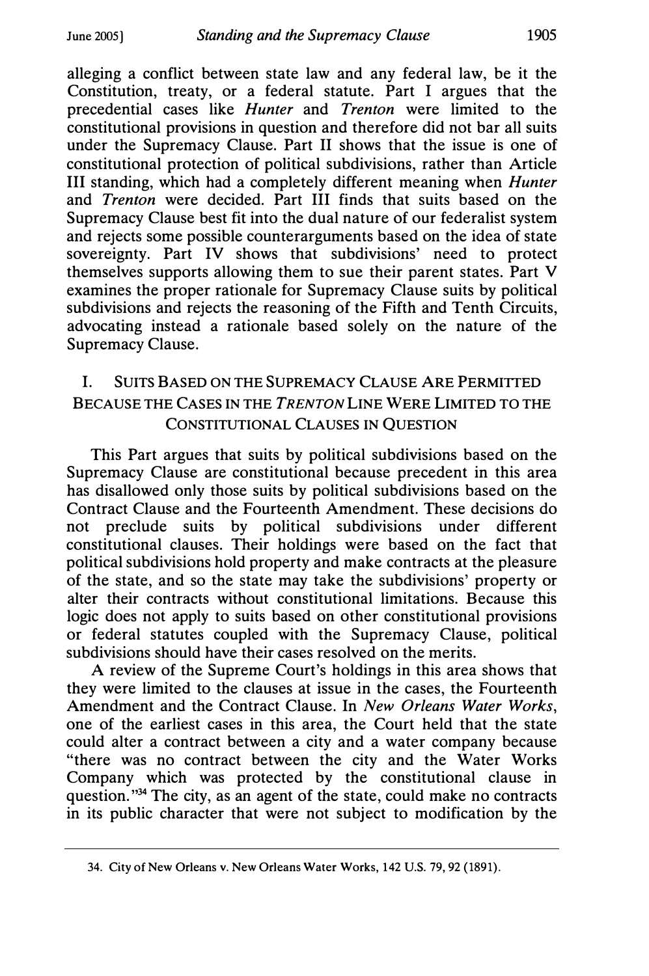alleging a conflict between state law and any federal law, be it the Constitution, treaty, or a federal statute. Part I argues that the precedential cases like Hunter and Trenton were limited to the constitutional provisions in question and therefore did not bar all suits under the Supremacy Clause. Part II shows that the issue is one of constitutional protection of political subdivisions, rather than Article III standing, which had a completely different meaning when Hunter and Trenton were decided. Part III finds that suits based on the Supremacy Clause best fit into the dual nature of our federalist system and rejects some possible counterarguments based on the idea of state sovereignty. Part IV shows that subdivisions' need to protect themselves supports allowing them to sue their parent states. Part V examines the proper rationale for Supremacy Clause suits by political subdivisions and rejects the reasoning of the Fifth and Tenth Circuits, advocating instead a rationale based solely on the nature of the Supremacy Clause.

## I. SUITS BASED ON THE SUPREMACY CLAUSE ARE PERMITIED BECAUSE THE CASES IN THE TRENTON LINE WERE LIMITED TO THE CONSTITUTIONAL CLAUSES IN QUESTION

This Part argues that suits by political subdivisions based on the Supremacy Clause are constitutional because precedent in this area has disallowed only those suits by political subdivisions based on the Contract Clause and the Fourteenth Amendment. These decisions do not preclude suits by political subdivisions under different constitutional clauses. Their holdings were based on the fact that political subdivisions hold property and make contracts at the pleasure of the state, and so the state may take the subdivisions' property or alter their contracts without constitutional limitations. Because this logic does not apply to suits based on other constitutional provisions or federal statutes coupled with the Supremacy Clause, political subdivisions should have their cases resolved on the merits.

A review of the Supreme Court's holdings in this area shows that they were limited to the clauses at issue in the cases, the Fourteenth Amendment and the Contract Clause. In New Orleans Water Works, one of the earliest cases in this area, the Court held that the state could alter a contract between a city and a water company because "there was no contract between the city and the Water Works Company which was protected by the constitutional clause in question."<sup>34</sup> The city, as an agent of the state, could make no contracts in its public character that were not subject to modification by the

<sup>34.</sup> City of New Orleans v. New Orleans Water Works, 142 U.S. 79, 92 (1891).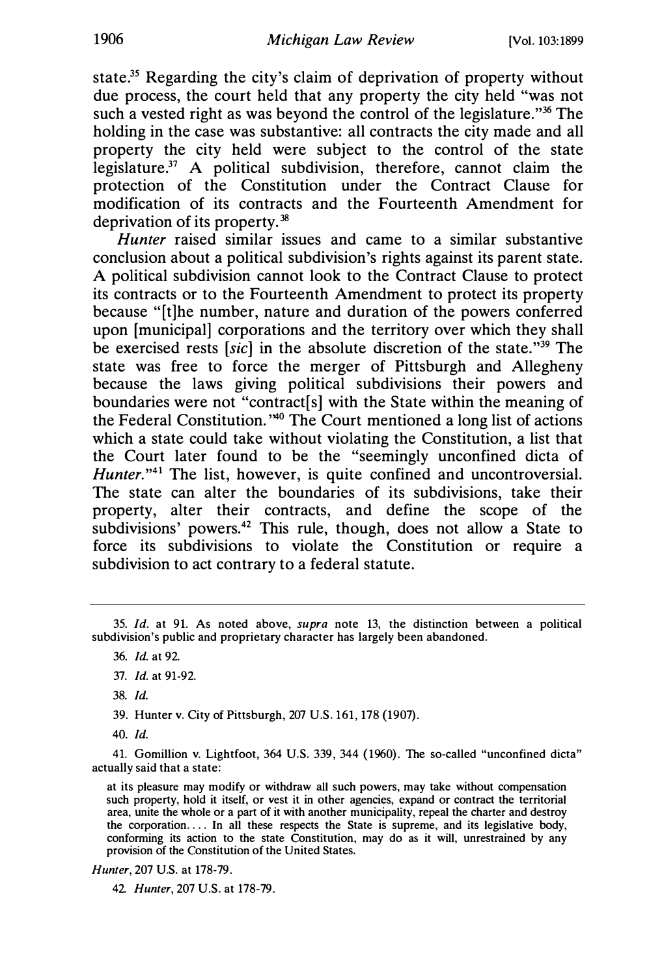state.<sup>35</sup> Regarding the city's claim of deprivation of property without due process, the court held that any property the city held "was not such a vested right as was beyond the control of the legislature."<sup>36</sup> The holding in the case was substantive: all contracts the city made and all property the city held were subject to the control of the state legislature. $37$  A political subdivision, therefore, cannot claim the protection of the Constitution under the Contract Clause for modification of its contracts and the Fourteenth Amendment for deprivation of its property.38

Hunter raised similar issues and came to a similar substantive conclusion about a political subdivision's rights against its parent state. A political subdivision cannot look to the Contract Clause to protect its contracts or to the Fourteenth Amendment to protect its property because "[t]he number, nature and duration of the powers conferred upon [municipal] corporations and the territory over which they shall be exercised rests [sic] in the absolute discretion of the state."<sup>39</sup> The state was free to force the merger of Pittsburgh and Allegheny because the laws giving political subdivisions their powers and boundaries were not "contract[s] with the State within the meaning of the Federal Constitution. "40 The Court mentioned a long list of actions which a state could take without violating the Constitution, a list that the Court later found to be the "seemingly unconfined dicta of Hunter."<sup>41</sup> The list, however, is quite confined and uncontroversial. The state can alter the boundaries of its subdivisions, take their property, alter their contracts, and define the scope of the subdivisions' powers.<sup>42</sup> This rule, though, does not allow a State to force its subdivisions to violate the Constitution or require a subdivision to act contrary to a federal statute.

38. Id.

39. Hunter v. City of Pittsburgh, 207 U.S. 161, 178 (1907).

40. Id.

41. Gomillion v. Lightfoot, 364 U.S. 339, 344 (1960). The so-called "unconfined dicta" actually said that a state:

at its pleasure may modify or withdraw all such powers, may take without compensation such property, hold it itself, or vest it in other agencies, expand or contract the territorial area, unite the whole or a part of it with another municipality, repeal the charter and destroy the corporation .... In all these respects the State is supreme, and its legislative body, conforming its action to the state Constitution, may do as it will, unrestrained by any provision of the Constitution of the United States.

Hunter, 207 U.S. at 178-79.

42. Hunter, 207 U.S. at 178-79.

<sup>35.</sup> Id. at 91. As noted above, supra note 13, the distinction between a political subdivision's public and proprietary character has largely been abandoned.

<sup>36.</sup> Id. at 92.

<sup>37.</sup> Id. at 91 -92.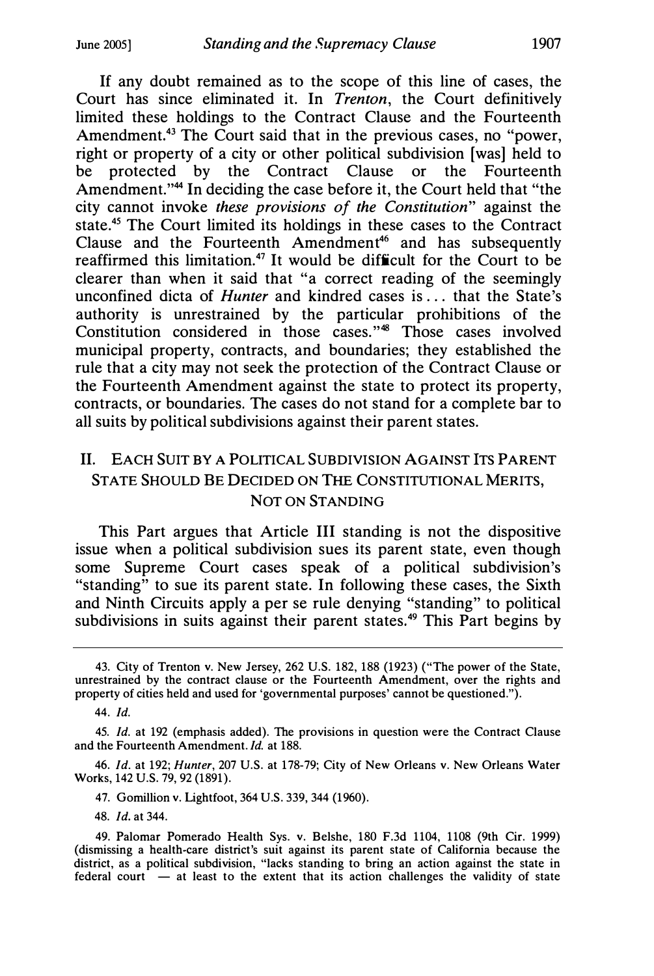If any doubt remained as to the scope of this line of cases, the Court has since eliminated it. In Trenton, the Court definitively limited these holdings to the Contract Clause and the Fourteenth Amendment.<sup>43</sup> The Court said that in the previous cases, no "power, right or property of a city or other political subdivision [was] held to be protected by the Contract Clause or the Fourteenth Amendment."<sup>44</sup> In deciding the case before it, the Court held that "the city cannot invoke these provisions of the Constitution" against the state.<sup>45</sup> The Court limited its holdings in these cases to the Contract Clause and the Fourteenth Amendment<sup>46</sup> and has subsequently reaffirmed this limitation.<sup>47</sup> It would be difficult for the Court to be clearer than when it said that "a correct reading of the seemingly unconfined dicta of *Hunter* and kindred cases is ... that the State's authority is unrestrained by the particular prohibitions of the Constitution considered in those cases."<sup>48</sup> Those cases involved municipal property, contracts, and boundaries; they established the rule that a city may not seek the protection of the Contract Clause or the Fourteenth Amendment against the state to protect its property, contracts, or boundaries. The cases do not stand for a complete bar to all suits by political subdivisions against their parent states.

## II. EACH SUIT BY A POLITICAL SUBDIVISION AGAINST ITS PARENT STATE SHOULD BE DECIDED ON THE CONSTITUTIONAL MERITS, NOT ON STANDING

This Part argues that Article III standing is not the dispositive issue when a political subdivision sues its parent state, even though some Supreme Court cases speak of a political subdivision's "standing" to sue its parent state. In following these cases, the Sixth and Ninth Circuits apply a per se rule denying "standing" to political subdivisions in suits against their parent states.<sup>49</sup> This Part begins by

46. Id. at 192; Hunter, 207 U.S. at 178-79; City of New Orleans v. New Orleans Water Works, 142 U.S. 79, 92 (1891).

47. Gomillion v. Lightfoot, 364 U.S. 339, 344 (1960).

48. Id. at 344.

<sup>43.</sup> City of Trenton v. New Jersey, 262 U.S. 182, 188 (1923) ("The power of the State, unrestrained by the contract clause or the Fourteenth Amendment, over the rights and property of cities held and used for 'governmental purposes' cannot be questioned.").

<sup>44.</sup> Id.

<sup>45.</sup> Id. at 192 (emphasis added). The provisions in question were the Contract Clause and the Fourteenth Amendment. Id. at 188.

<sup>49.</sup> Palomar Pomerado Health Sys. v. Belshe, 180 F.3d 1104, 1108 (9th Cir. 1999) (dismissing a health-care district's suit against its parent state of California because the district, as a political subdivision, "lacks standing to bring an action against the state in  $f$  federal court  $-$  at least to the extent that its action challenges the validity of state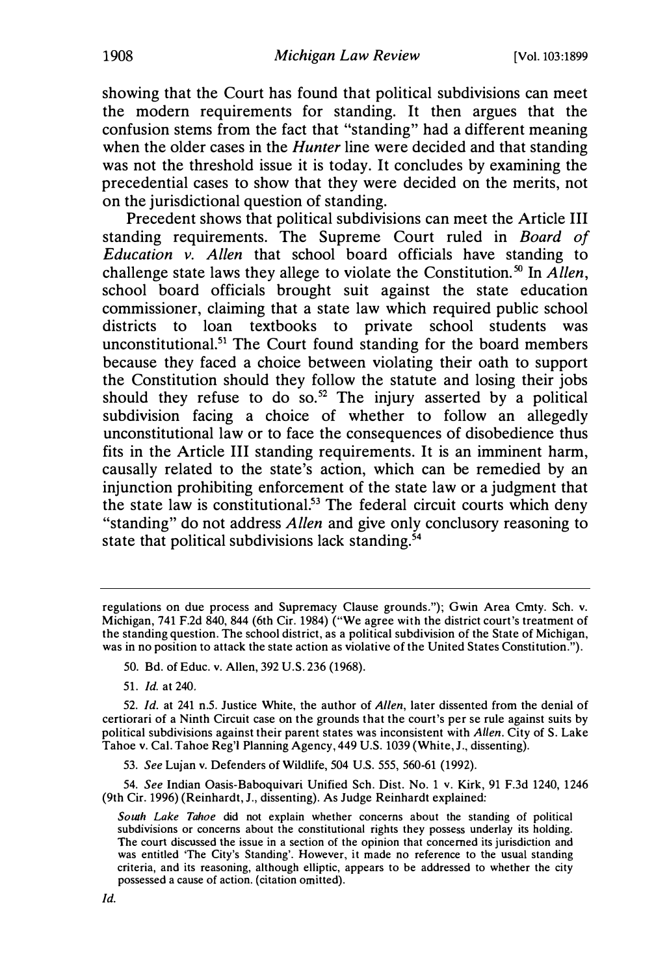showing that the Court has found that political subdivisions can meet the modern requirements for standing. It then argues that the confusion stems from the fact that "standing" had a different meaning when the older cases in the *Hunter* line were decided and that standing was not the threshold issue it is today. It concludes by examining the precedential cases to show that they were decided on the merits, not on the jurisdictional question of standing.

Precedent shows that political subdivisions can meet the Article III standing requirements. The Supreme Court ruled in Board of Education  $\overline{v}$ . Allen that school board officials have standing to challenge state laws they allege to violate the Constitution.<sup>50</sup> In Allen, school board officials brought suit against the state education commissioner, claiming that a state law which required public school districts to loan textbooks to private school students was unconstitutional.<sup>51</sup> The Court found standing for the board members because they faced a choice between violating their oath to support the Constitution should they follow the statute and losing their jobs should they refuse to do so.<sup>52</sup> The injury asserted by a political subdivision facing a choice of whether to follow an allegedly unconstitutional law or to face the consequences of disobedience thus fits in the Article III standing requirements. It is an imminent harm, causally related to the state's action, which can be remedied by an injunction prohibiting enforcement of the state law or a judgment that the state law is constitutional.53 The federal circuit courts which deny "standing" do not address Allen and give only conclusory reasoning to state that political subdivisions lack standing. $54$ 

54. See Indian Oasis-Baboquivari Unified Sch. Dist. No. 1 v. Kirk, 91 F.3d 1240, 1246 (9th Cir. 1996) (Reinhardt, J., dissenting). As Judge Reinhardt explained:

regulations on due process and Supremacy Clause grounds."); Gwin Area Cmty. Sch. v. Michigan, 741 F.2d 840, 844 (6th Cir. 1984) ("We agree with the district court's treatment of the standing question. The school district, as a political subdivision of the State of Michigan, was in no position to attack the state action as violative of the United States Constitution.").

<sup>50.</sup> Bd. of Educ. v. Allen, 392 U.S. 236 (1968).

<sup>51.</sup> Id. at 240.

<sup>52.</sup> Id. at 241 n.5. Justice White, the author of Allen, later dissented from the denial of certiorari of a Ninth Circuit case on the grounds that the court's per se rule against suits by political subdivisions against their parent states was inconsistent with Allen. City of S. Lake Tahoe v. Cal. Tahoe Reg'! Planning Agency, 449 U.S. 1039 (White, J., dissenting).

<sup>53.</sup> See Lujan v. Defenders of Wildlife, 504 U.S. 555, 560-61 (1992).

South Lake Tahoe did not explain whether concerns about the standing of political subdivisions or concerns about the constitutional rights they possess underlay its holding. The court discussed the issue in a section of the opinion that concerned its jurisdiction and was entitled 'The City's Standing'. However, it made no reference to the usual standing criteria, and its reasoning, although elliptic, appears to be addressed to whether the city possessed a cause of action. (citation omitted).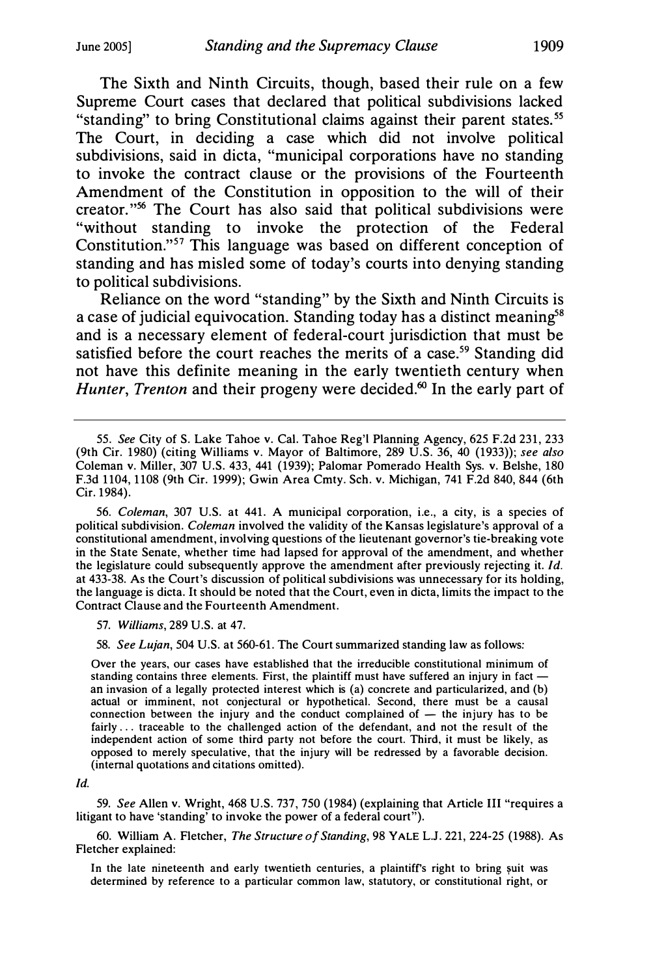The Sixth and Ninth Circuits, though, based their rule on a few Supreme Court cases that declared that political subdivisions lacked "standing" to bring Constitutional claims against their parent states.<sup>55</sup> The Court, in deciding a case which did not involve political subdivisions, said in dicta, "municipal corporations have no standing to invoke the contract clause or the provisions of the Fourteenth Amendment of the Constitution in opposition to the will of their creator."s6 The Court has also said that political subdivisions were "without standing to invoke the protection of the Federal Constitution."<sup>57</sup> This language was based on different conception of standing and has misled some of today's courts into denying standing to political subdivisions.

Reliance on the word "standing" by the Sixth and Ninth Circuits is a case of judicial equivocation. Standing today has a distinct meaning<sup>58</sup> and is a necessary element of federal-court jurisdiction that must be satisfied before the court reaches the merits of a case.<sup>59</sup> Standing did not have this definite meaning in the early twentieth century when Hunter, Trenton and their progeny were decided.<sup>60</sup> In the early part of

56. Coleman, 307 U.S. at 441. A municipal corporation, i.e., a city, is a species of political subdivision. Coleman involved the validity of the Kansas legislature's approval of a constitutional amendment, involving questions of the lieutenant governor's tie-breaking vote in the State Senate, whether time had lapsed for approval of the amendment, and whether the legislature could subsequently approve the amendment after previously rejecting it.  $Id$ . at 433-38. As the Court's discussion of political subdivisions was unnecessary for its holding, the language is dicta. It should be noted that the Court, even in dicta, limits the impact to the Contract Clause and the Fourteenth Amendment.

57. Williams, 289 U.S. at 47.

58. See Lujan, 504 U.S. at 560-61. The Court summarized standing law as follows:

Over the years, our cases have established that the irreducible constitutional minimum of standing contains three elements. First, the plaintiff must have suffered an injury in fact  $$ an invasion of a legally protected interest which is (a) concrete and particularized, and (b) actual or imminent, not conjectural or hypothetical. Second, there must be a causal connection between the injury and the conduct complained of  $-$  the injury has to be fairly ... traceable to the challenged action of the defendant, and not the result of the independent action of some third party not before the court. Third, it must be likely, as opposed to merely speculative, that the injury will be redressed by a favorable decision. (internal quotations and citations omitted).

#### Id.

59. See Allen v. Wright, 468 U.S. 737, 750 (1984) (explaining that Article III "requires a litigant to have 'standing' to invoke the power of a federal court").

60. William A. Fletcher, The Structure of Standing, 98 YALE L.J. 221, 224-25 (1988). As Fletcher explained:

In the late nineteenth and early twentieth centuries, a plaintiff's right to bring suit was determined by reference to a particular common law, statutory, or constitutional right, or

<sup>55.</sup> See City of S. Lake Tahoe v. Cal. Tahoe Reg'! Planning Agency, 625 F.2d 231, 233 (9th Cir. 1980) (citing Williams v. Mayor of Baltimore, 289 U.S. 36, 40 (1933)); see also Coleman v. Miller, 307 U.S. 433, 441 (1939); Palomar Pomerado Health Sys. v. Belshe, 180 F.3d 1104, 1108 (9th Cir. 1999); Gwin Area Cmty. Sch. v. Michigan, 741 F.2d 840, 844 (6th Cir. 1984).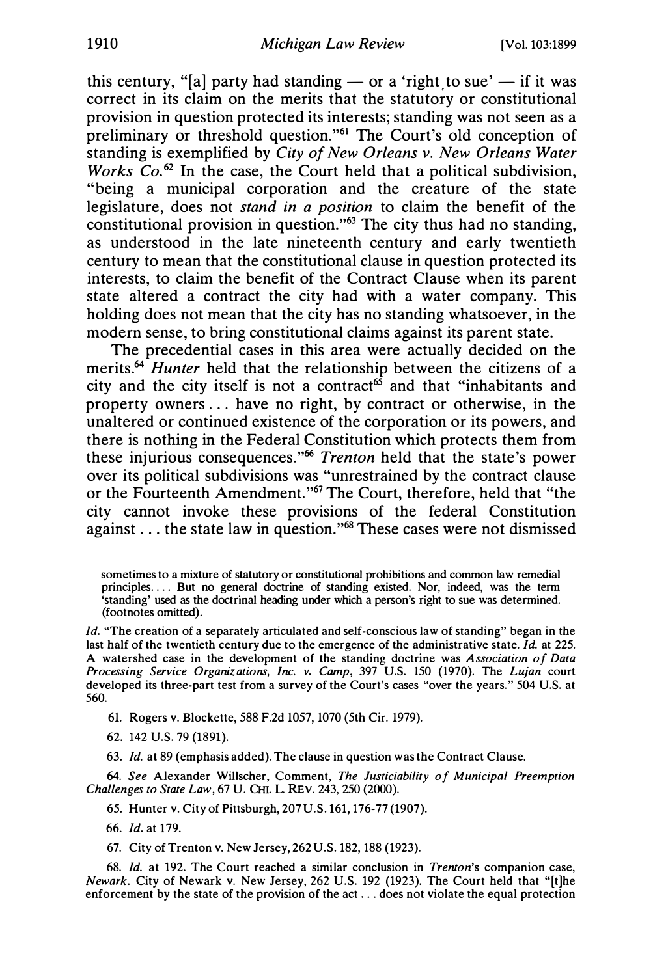this century, "[a] party had standing — or a 'right to sue' — if it was correct in its claim on the merits that the statutory or constitutional provision in question protected its interests; standing was not seen as a preliminary or threshold question."<sup>61</sup> The Court's old conception of standing is exemplified by City of New Orleans v. New Orleans Water Works  $Co^{62}$  In the case, the Court held that a political subdivision, "being a municipal corporation and the creature of the state legislature, does not stand in a position to claim the benefit of the constitutional provision in question."<sup>63</sup> The city thus had no standing, as understood in the late nineteenth century and early twentieth century to mean that the constitutional clause in question protected its interests, to claim the benefit of the Contract Clause when its parent state altered a contract the city had with a water company. This holding does not mean that the city has no standing whatsoever, in the modem sense, to bring constitutional claims against its parent state.

The precedential cases in this area were actually decided on the merits.<sup>64</sup> Hunter held that the relationship between the citizens of a city and the city itself is not a contract<sup>65</sup> and that "inhabitants and property owners . . . have no right, by contract or otherwise, in the unaltered or continued existence of the corporation or its powers, and there is nothing in the Federal Constitution which protects them from these injurious consequences."<sup>66</sup> Trenton held that the state's power over its political subdivisions was "unrestrained by the contract clause or the Fourteenth Amendment."<sup>67</sup> The Court, therefore, held that "the city cannot invoke these provisions of the federal Constitution against . . . the state law in question."<sup>68</sup> These cases were not dismissed

- 61. Rogers v. Blockette, 588 F.2d 1057, 1070 (5th Cir. 1979).
- 62. 142 U.S. 79 (1891).
- 63. Id. at 89 (emphasis added). The clause in question was the Contract Clause.

64. See Alexander Willscher, Comment, The Justiciability of Municipal Preemption Challenges to State Law, 67 U. CHI. L. REV. 243, 250 (2000).

- 65. Hunter v. City of Pittsburgh, 207 U.S. 161, 176-77 (1907).
- 66. Id.atl79.
- 67. City of Trenton v. New Jersey, 262 U.S. 182, 188 (1923).

68. Id. at 192. The Court reached a similar conclusion in Trenton's companion case, Newark. City of Newark v. New Jersey, 262 U.S. 192 (1923). The Court held that "[t]he enforcement by the state of the provision of the act .. . does not violate the equal protection

sometimes to a mixture of statutory or constitutional prohibitions and common law remedial principles.... But no general doctrine of standing existed. Nor, indeed, was the term 'standing' used as the doctrinal heading under which a person's right to sue was determined. (footnotes omitted).

Id. "The creation of a separately articulated and self-conscious law of standing" began in the last half of the twentieth century due to the emergence of the administrative state. Id. at 225. A watershed case in the development of the standing doctrine was Association of Data Processing Service Organizations, Inc. v. Camp, 397 U.S. 150 (1970). The Lujan court developed its three-part test from a survey of the Court's cases "over the years. " 504 U.S. at 560.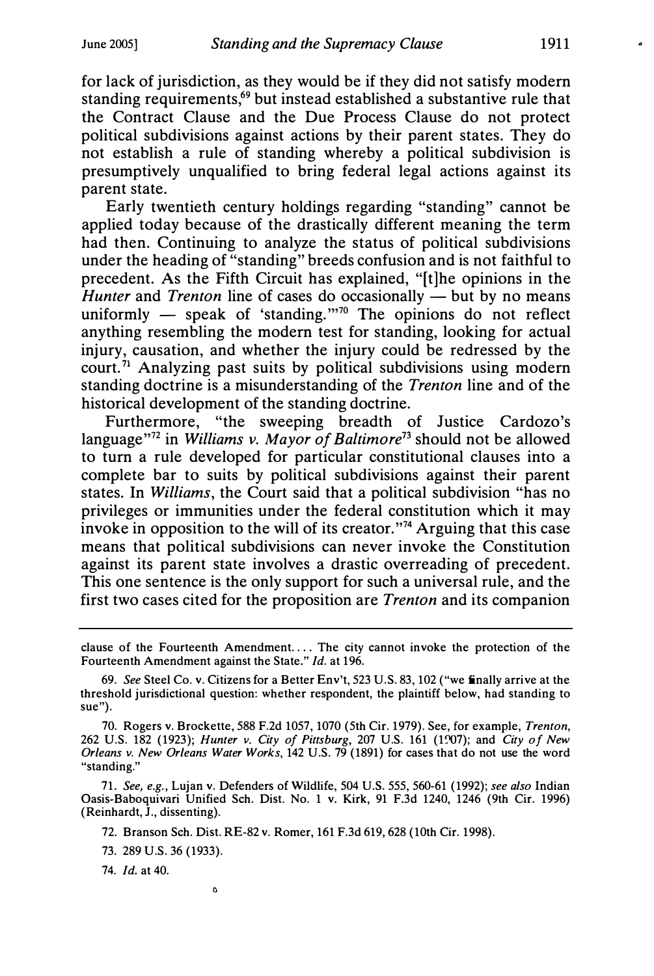for lack of jurisdiction, as they would be if they did not satisfy modem standing requirements,<sup>69</sup> but instead established a substantive rule that the Contract Clause and the Due Process Clause do not protect political subdivisions against actions by their parent states. They do not establish a rule of standing whereby a political subdivision is presumptively unqualified to bring federal legal actions against its parent state.

Early twentieth century holdings regarding "standing" cannot be applied today because of the drastically different meaning the term had then. Continuing to analyze the status of political subdivisions under the heading of "standing" breeds confusion and is not faithful to precedent. As the Fifth Circuit has explained, "[t]he opinions in the Hunter and Trenton line of cases do occasionally  $\frac{1}{x}$  but by no means uniformly  $-$  speak of 'standing."<sup>70</sup> The opinions do not reflect anything resembling the modem test for standing, looking for actual injury, causation, and whether the injury could be redressed by the court.<sup>71</sup> Analyzing past suits by political subdivisions using modern standing doctrine is a misunderstanding of the Trenton line and of the historical development of the standing doctrine.

Furthermore, "the sweeping breadth of Justice Cardozo's language"<sup>72</sup> in Williams v. Mayor of Baltimore<sup>73</sup> should not be allowed to tum a rule developed for particular constitutional clauses into a complete bar to suits by political subdivisions against their parent states. In Williams, the Court said that a political subdivision "has no privileges or immunities under the federal constitution which it may invoke in opposition to the will of its creator."<sup>74</sup> Arguing that this case means that political subdivisions can never invoke the Constitution against its parent state involves a drastic overreading of precedent. This one sentence is the only support for such a universal rule, and the first two cases cited for the proposition are Trenton and its companion

71. See, e.g., Lujan v. Defenders of Wildlife, 504 U.S. 555, 560-61 (1992); see also Indian Oasis-Baboquivari Unified Sch. Dist. No. 1 v. Kirk, 91 F.3d 1240, 1246 (9th Cir. 1996) (Reinhardt, J., dissenting).

72. Branson Sch. Dist. RE-82 v. Romer, 161 F.3d 619, 628 (10th Cir. 1998).

73. 289 U.S. 36 (1933).

 $\circ$ 

74. Id. at 40.

clause of the Fourteenth Amendment. ... The city cannot invoke the protection of the Fourteenth Amendment against the State." Id. at 196.

<sup>69.</sup> See Steel Co. v. Citizens for a Better Env't, 523 U.S. 83, 102 ("we finally arrive at the threshold jurisdictional question: whether respondent, the plaintiff below, had standing to sue").

<sup>70.</sup> Rogers v. Brockette, 588 F.2d 1057, 1070 (5th Cir. 1979). See, for example, Trenton, 262 U.S. 182 (1923); Hunter v. City of Pittsburg, 207 U.S. 161 (1�7); and City of New Orleans v. New Orleans Water Works, 142 U.S. 79 (1891) for cases that do not use the word "standing."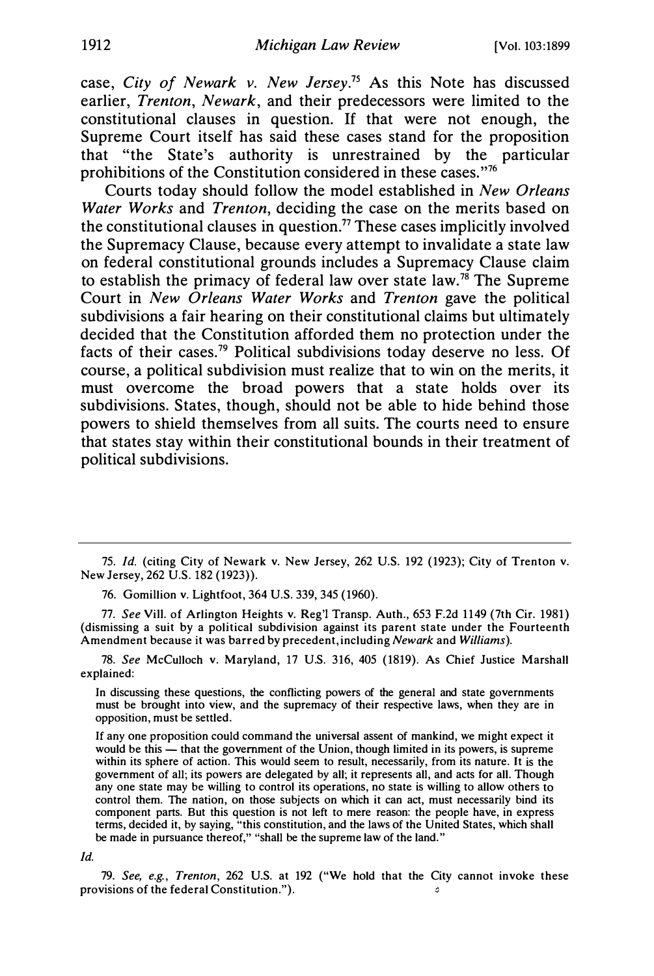case, City of Newark v. New Jersey.<sup>75</sup> As this Note has discussed earlier, Trenton, Newark, and their predecessors were limited to the constitutional clauses in question. If that were not enough, the Supreme Court itself has said these cases stand for the proposition that "the State's authority is unrestrained by the particular prohibitions of the Constitution considered in these cases."<sup>76</sup>

Courts today should follow the model established in New Orleans Water Works and Trenton, deciding the case on the merits based on the constitutional clauses in question.<sup>77</sup> These cases implicitly involved the Supremacy Clause, because every attempt to invalidate a state law on federal constitutional grounds includes a Supremacy Clause claim to establish the primacy of federal law over state law.<sup>78</sup> The Supreme Court in New Orleans Water Works and Trenton gave the political subdivisions a fair hearing on their constitutional claims but ultimately decided that the Constitution afforded them no protection under the facts of their cases.<sup>79</sup> Political subdivisions today deserve no less. Of course, a political subdivision must realize that to win on the merits, it must overcome the broad powers that a state holds over its subdivisions. States, though, should not be able to hide behind those powers to shield themselves from all suits. The courts need to ensure that states stay within their constitutional bounds in their treatment of political subdivisions.

75. Id. (citing City of Newark v. New Jersey, 262 U.S. 192 (1923); City of Trenton v. New Jersey, 262 U.S. 182 (1923)).

76. Gomillion v. Lightfoot, 364 U.S. 339, 345 (1960).

77. See Viii. of Arlington Heights v. Reg') Transp. Auth., 653 F.2d 1149 (7th Cir. 1981) (dismissing a suit by a political subdivision against its parent state under the Fourteenth Amendment because it was barred by precedent, including Newark and Williams).

78. See McCulloch v. Maryland, 17 U.S. 316, 405 (1819). As Chief Justice Marshall explained:

In discussing these questions, the conflicting powers of the general and state governments must be brought into view, and the supremacy of their respective laws, when they are in opposition, must be settled.

If any one proposition could command the universal assent of mankind, we might expect it would be this — that the government of the Union, though limited in its powers, is supreme within its sphere of action. This would seem to result, necessarily, from its nature. It is the government of all; its powers are delegated by all; it represents all, and acts for all. Though any one state may be willing to control its operations, no state is willing to allow others to control them. The nation, on those subjects on which it can act, must necessarily bind its component parts. But this question is not left to mere reason: the people have, in express terms, decided it, by saying, "this constitution, and the laws of the United States, which shall be made in pursuance thereof," "shall be the supreme law of the land."

Id.

79. See, e.g., Trenton, 262 U.S. at 192 ("We hold that the City cannot invoke these provisions of the federal Constitution."). ٥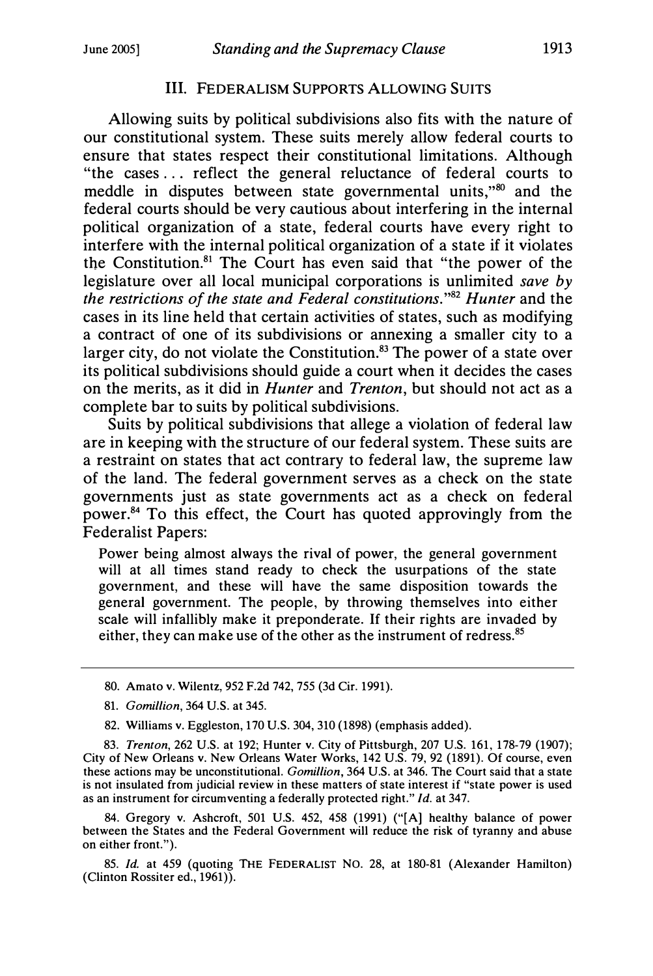#### Ill. FEDERALISM SUPPORTS ALLOWING SUITS

Allowing suits by political subdivisions also fits with the nature of our constitutional system. These suits merely allow federal courts to ensure that states respect their constitutional limitations. Although "the cases . . . reflect the general reluctance of federal courts to meddle in disputes between state governmental units,<sup>380</sup> and the federal courts should be very cautious about interfering in the internal political organization of a state, federal courts have every right to interfere with the internal political organization of a state if it violates the Constitution. $81$  The Court has even said that "the power of the legislature over all local municipal corporations is unlimited save by the restrictions of the state and Federal constitutions."82 Hunter and the cases in its line held that certain activities of states, such as modifying a contract of one of its subdivisions or annexing a smaller city to a larger city, do not violate the Constitution. $83$  The power of a state over its political subdivisions should guide a court when it decides the cases on the merits, as it did in *Hunter* and *Trenton*, but should not act as a complete bar to suits by political subdivisions.

Suits by political subdivisions that allege a violation of federal law are in keeping with the structure of our federal system. These suits are a restraint on states that act contrary to federal law, the supreme law of the land. The federal government serves as a check on the state governments just as state governments act as a check on federal power. $84$  To this effect, the Court has quoted approvingly from the Federalist Papers:

Power being almost always the rival of power, the general government will at all times stand ready to check the usurpations of the state government, and these will have the same disposition towards the general government. The people, by throwing themselves into either scale will infallibly make it preponderate. If their rights are invaded by either, they can make use of the other as the instrument of redress.<sup>85</sup>

- 80. Amato v. Wilentz, 952 F.2d 742, 755 (3d Cir. 1991).
- 81. Gomillion, 364 U.S. at 345.
- 82. Williams v. Eggleston, 170 U.S. 304, 310 (1898) (emphasis added).

83. Trenton, 262 U.S. at 192; Hunter v. City of Pittsburgh, 207 U.S. 161, 178-79 (1907); City of New Orleans v. New Orleans Water Works, 142 U.S. 79, 92 (1891). Of course, even these actions may be unconstitutional. Gomillion, 364 U.S. at 346. The Court said that a state is not insulated from judicial review in these matters of state interest if "state power is used as an instrument for circumventing a federally protected right." Id. at 347.

84. Gregory v. Ashcroft, 501 U.S. 452, 458 (1991) ("[A] healthy balance of power between the States and the Federal Government will reduce the risk of tyranny and abuse on either front.").

85. Id. at 459 (quoting THE FEDERALIST NO. 28, at 180-81 (Alexander Hamilton) (Clinton Rossiter ed., 1961)).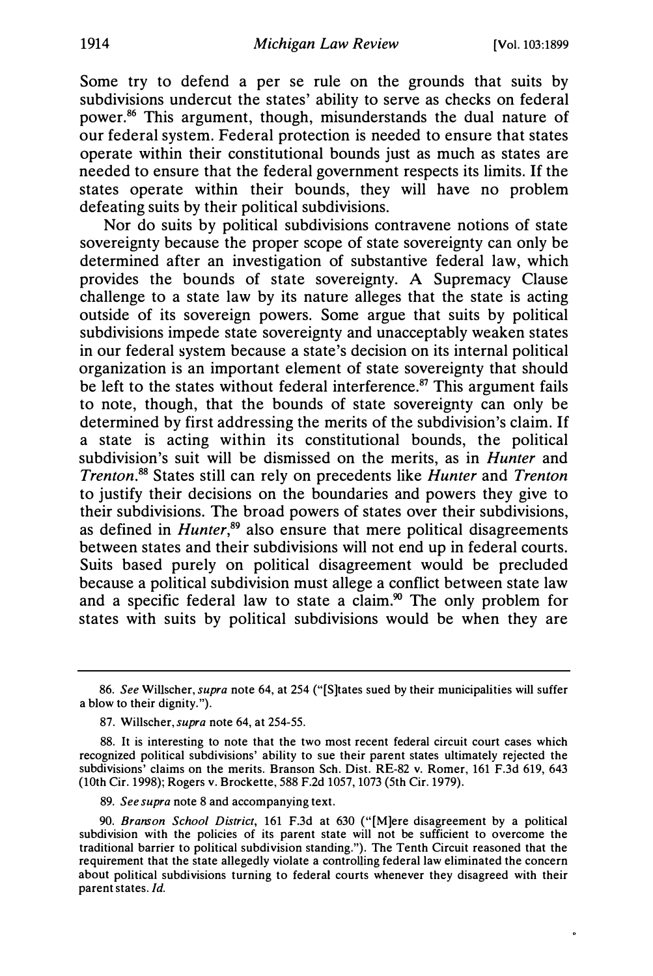$\ddot{\phantom{0}}$ 

Some try to defend a per se rule on the grounds that suits by subdivisions undercut the states' ability to serve as checks on federal power. 86 This argument, though, misunderstands the dual nature of our federal system. Federal protection is needed to ensure that states operate within their constitutional bounds just as much as states are needed to ensure that the federal government respects its limits. If the states operate within their bounds, they will have no problem defeating suits by their political subdivisions.

Nor do suits by political subdivisions contravene notions of state sovereignty because the proper scope of state sovereignty can only be determined after an investigation of substantive federal law, which provides the bounds of state sovereignty. A Supremacy Clause challenge to a state law by its nature alleges that the state is acting outside of its sovereign powers. Some argue that suits by political subdivisions impede state sovereignty and unacceptably weaken states in our federal system because a state's decision on its internal political organization is an important element of state sovereignty that should be left to the states without federal interference.<sup>87</sup> This argument fails to note, though, that the bounds of state sovereignty can only be determined by first addressing the merits of the subdivision's claim. If a state is acting within its constitutional bounds, the political subdivision's suit will be dismissed on the merits, as in *Hunter* and Trenton.88 States still can rely on precedents like Hunter and Trenton to justify their decisions on the boundaries and powers they give to their subdivisions. The broad powers of states over their subdivisions, as defined in *Hunter*, $89$  also ensure that mere political disagreements between states and their subdivisions will not end up in federal courts. Suits based purely on political disagreement would be precluded because a political subdivision must allege a conflict between state law and a specific federal law to state a claim.<sup>90</sup> The only problem for states with suits by political subdivisions would be when they are

<sup>86.</sup> See Willscher, supra note 64, at 254 ("[S]tates sued by their municipalities will suffer a blow to their dignity.").

<sup>87.</sup> Willscher, supra note 64, at 254-55.

<sup>88.</sup> It is interesting to note that the two most recent federal circuit court cases which recognized political subdivisions' ability to sue their parent states ultimately rejected the subdivisions' claims on the merits. Branson Sch. Dist. RE-82 v. Romer, 161 F.3d 619, 643 (10th Cir. 1998); Rogers v. Brockette, 588 F.2d 1057, 1073 (5th Cir. 1979).

<sup>89.</sup> See supra note 8 and accompanying text.

<sup>90.</sup> Branson School District, 161 F.3d at 630 ("[M]ere disagreement by a political subdivision with the policies of its parent state will not be sufficient to overcome the traditional barrier to political subdivision standing."). The Tenth Circuit reasoned that the requirement that the state allegedly violate a controlling federal law eliminated the concern about political subdivisions turning to federal courts whenever they disagreed with their parent states. Id.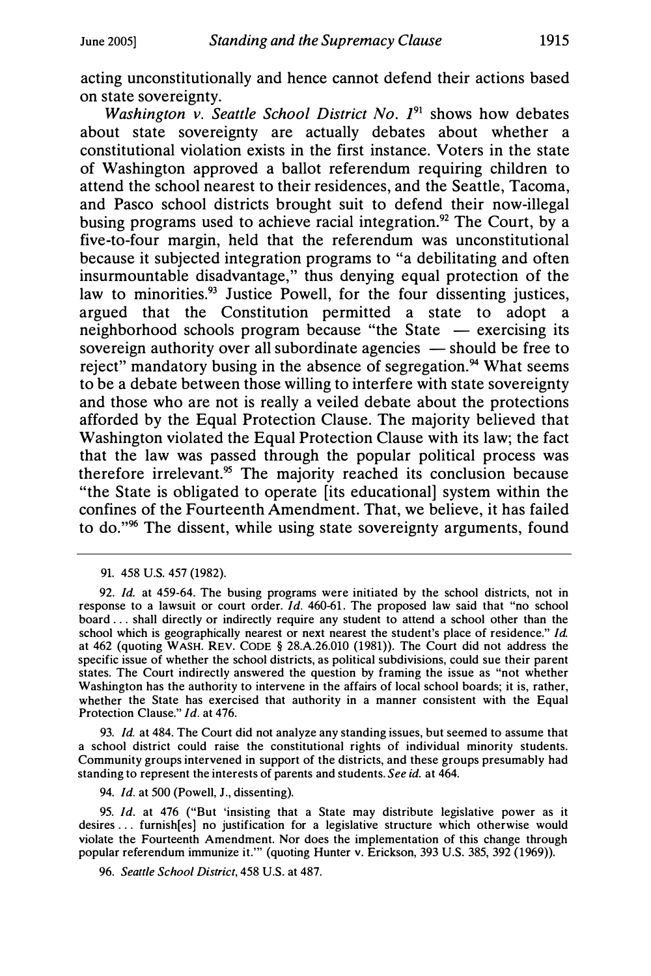acting unconstitutionally and hence cannot defend their actions based on state sovereignty.

Washington v. Seattle School District No.  $I^{91}$  shows how debates about state sovereignty are actually debates about whether a constitutional violation exists in the first instance. Voters in the state of Washington approved a ballot referendum requiring children to attend the school nearest to their residences, and the Seattle, Tacoma, and Pasco school districts brought suit to defend their now-illegal busing programs used to achieve racial integration.<sup>92</sup> The Court, by a five-to-four margin, held that the referendum was unconstitutional because it subjected integration programs to "a debilitating and often insurmountable disadvantage," thus denying equal protection of the law to minorities. $93$  Justice Powell, for the four dissenting justices, argued that the Constitution permitted a state to adopt a neighborhood schools program because "the State - exercising its sovereign authority over all subordinate agencies  $-$  should be free to reject" mandatory busing in the absence of segregation.<sup>94</sup> What seems to be a debate between those willing to interfere with state sovereignty and those who are not is really a veiled debate about the protections afforded by the Equal Protection Clause. The majority believed that Washington violated the Equal Protection Clause with its law; the fact that the law was passed through the popular political process was therefore irrelevant.<sup>95</sup> The majority reached its conclusion because "the State is obligated to operate [its educational] system within the confines of the Fourteenth Amendment. That, we believe, it has failed to do."<sup>96</sup> The dissent, while using state sovereignty arguments, found

93. Id. at 484. The Court did not analyze any standing issues, but seemed to assume that a school district could raise the constitutional rights of individual minority students. Community groups intervened in support of the districts, and these groups presumably had standing to represent the interests of parents and students. See id. at 464.

94. Id. at 500 (Powell, J., dissenting).

95. Id. at 476 ("But 'insisting that a State may distribute legislative power as it desires ... furnish[es] no justification for a legislative structure which otherwise would violate the Fourteenth Amendment. Nor does the implementation of this change through popular referendum immunize it."' (quoting Hunter v. Erickson, 393 U.S. 385, 392 (1969)).

96. Seattle School District, 458 U.S. at 487.

<sup>91. 458</sup> U.S. 457 (1982).

<sup>92.</sup> Id. at 459-64. The busing programs were initiated by the school districts, not in response to a lawsuit or court order. Id. 460-61. The proposed law said that "no school board ... shall directly or indirectly require any student to attend a school other than the school which is geographically nearest or next nearest the student's place of residence." Id. at 462 (quoting WASH. REV. CODE § 28.A.26.010 (1981)). The Court did not address the specific issue of whether the school districts, as political subdivisions, could sue their parent states. The Court indirectly answered the question by framing the issue as "not whether Washington has the authority to intervene in the affairs of local school boards; it is, rather, whether the State has exercised that authority in a manner consistent with the Equal Protection Clause." Id. at 476.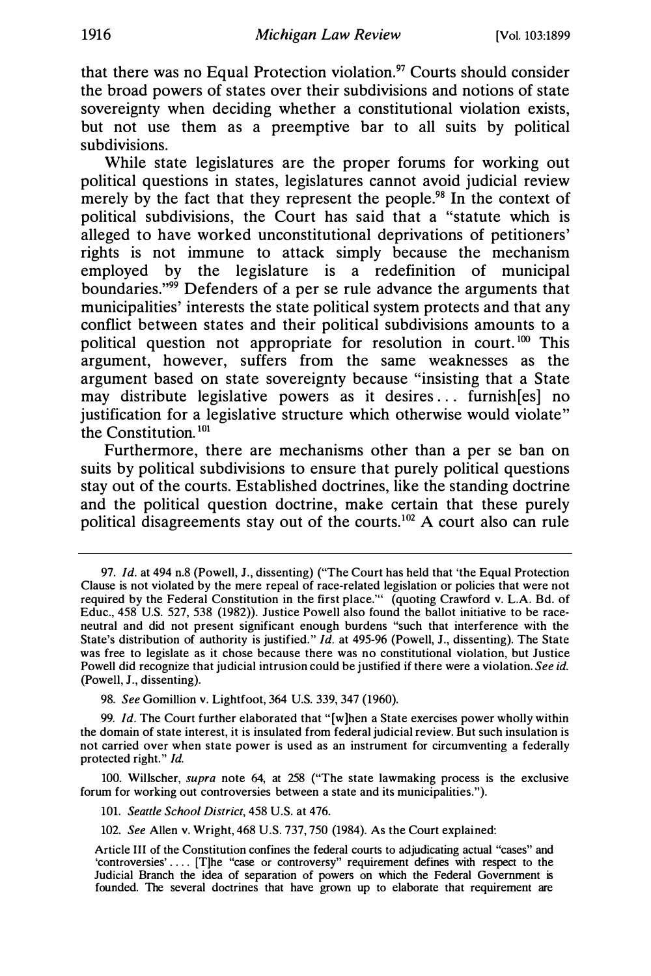that there was no Equal Protection violation.<sup>97</sup> Courts should consider the broad powers of states over their subdivisions and notions of state sovereignty when deciding whether a constitutional violation exists, but not use them as a preemptive bar to all suits by political subdivisions.

While state legislatures are the proper forums for working out political questions in states, legislatures cannot avoid judicial review merely by the fact that they represent the people.<sup>98</sup> In the context of political subdivisions, the Court has said that a "statute which is alleged to have worked unconstitutional deprivations of petitioners' rights is not immune to attack simply because the mechanism employed by the legislature is a redefinition of municipal boundaries."<sup>99</sup> Defenders of a per se rule advance the arguments that municipalities' interests the state political system protects and that any conflict between states and their political subdivisions amounts to a political question not appropriate for resolution in court.<sup>100</sup> This argument, however, suffers from the same weaknesses as the argument based on state sovereignty because "insisting that a State may distribute legislative powers as it desires ... furnish[es] no justification for a legislative structure which otherwise would violate" the Constitution. $101$ 

Furthermore, there are mechanisms other than a per se ban on suits by political subdivisions to ensure that purely political questions stay out of the courts. Established doctrines, like the standing doctrine and the political question doctrine, make certain that these purely political disagreements stay out of the courts.<sup>102</sup> A court also can rule

99. Id. The Court further elaborated that "[w]hen a State exercises power wholly within the domain of state interest, it is insulated from federal judicial review. But such insulation is not carried over when state power is used as an instrument for circumventing a federally protected right." Id.

100. Willscher, supra note 64, at 258 ("The state lawmaking process is the exclusive forum for working out controversies between a state and its municipalities.").

101. Seattle School District, 458 U.S. at 476.

102. See Allen v. Wright, 468 U.S. 737, 750 (1984). As the Court explained:

<sup>97.</sup> Id. at 494 n.8 (Powell, J., dissenting) ("The Court has held that 'the Equal Protection Clause is not violated by the mere repeal of race-related legislation or policies that were not required by the Federal Constitution in the first place."' (quoting Crawford v. L.A. Bd. of Educ., 458 U.S. 527, 538 (1982)). Justice Powell also found the ballot initiative to be raceneutral and did not present significant enough burdens "such that interference with the State's distribution of authority is justified."  $Id$ . at 495-96 (Powell, J., dissenting). The State was free to legislate as it chose because there was no constitutional violation, but Justice Powell did recognize that judicial intrusion could be justified if there were a violation. See id. (Powell, J., dissenting).

<sup>98.</sup> See Gomillion v. Lightfoot, 364 U.S. 339, 347 (1960).

Article III of the Constitution confines the federal courts to adjudicating actual "cases" and 'controversies' .... [T]he "case or controversy" requirement defines with respect to the Judicial Branch the idea of separation of powers on which the Federal Government is founded. The several doctrines that have grown up to elaborate that requirement are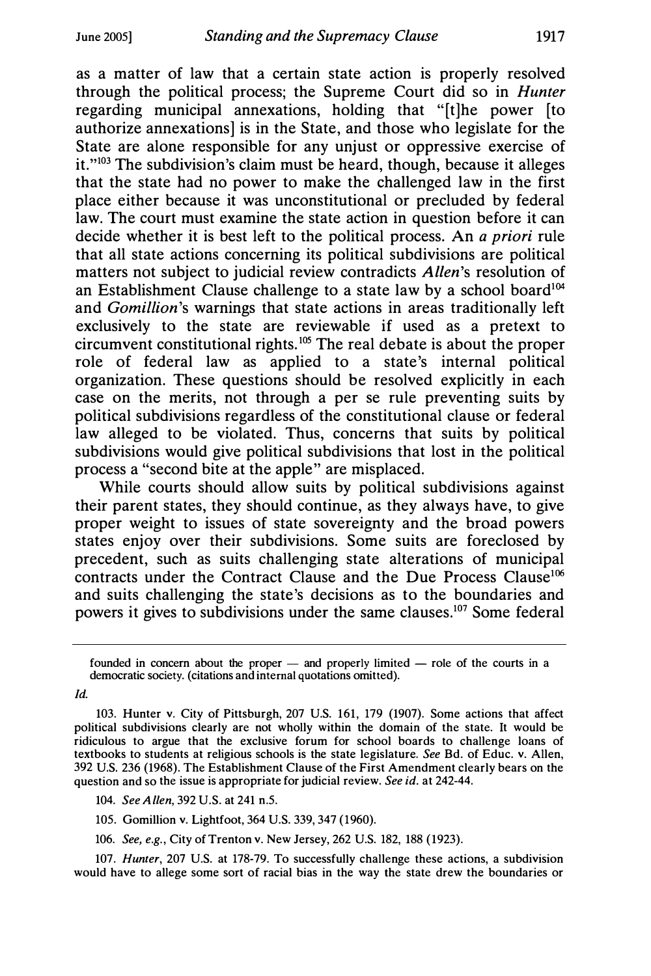as a matter of law that a certain state action is properly resolved through the political process; the Supreme Court did so in Hunter regarding municipal annexations, holding that "[t]he power [to authorize annexations] is in the State, and those who legislate for the State are alone responsible for any unjust or oppressive exercise of it."<sup>103</sup> The subdivision's claim must be heard, though, because it alleges that the state had no power to make the challenged law in the first place either because it was unconstitutional or precluded by federal law. The court must examine the state action in question before it can decide whether it is best left to the political process. An a priori rule that all state actions concerning its political subdivisions are political matters not subject to judicial review contradicts Allen's resolution of an Establishment Clause challenge to a state law by a school board<sup>104</sup> and Gomillion's warnings that state actions in areas traditionally left exclusively to the state are reviewable if used as a pretext to circumvent constitutional rights.<sup>105</sup> The real debate is about the proper role of federal law as applied to a state's internal political organization. These questions should be resolved explicitly in each case on the merits, not through a per se rule preventing suits by political subdivisions regardless of the constitutional clause or federal law alleged to be violated. Thus, concerns that suits by political subdivisions would give political subdivisions that lost in the political process a "second bite at the apple" are misplaced.

While courts should allow suits by political subdivisions against their parent states, they should continue, as they always have, to give proper weight to issues of state sovereignty and the broad powers states enjoy over their subdivisions. Some suits are foreclosed by precedent, such as suits challenging state alterations of municipal contracts under the Contract Clause and the Due Process Clause<sup>106</sup> and suits challenging the state's decisions as to the boundaries and powers it gives to subdivisions under the same clauses. 107 Some federal

Id.

- 105. Gomillion v. Lightfoot, 364 U.S. 339, 347 (1960).
- 106. See, e.g., City of Trenton v. New Jersey, 262 U.S. 182, 188 (1923).

107. Hunter, 207 U.S. at 178-79. To successfully challenge these actions, a subdivision would have to allege some sort of racial bias in the way the state drew the boundaries or

founded in concern about the proper  $-$  and properly limited  $-$  role of the courts in a democratic society. (citations and internal quotations omitted).

<sup>103.</sup> Hunter v. City of Pittsburgh, 207 U.S. 161, 179 (1907). Some actions that affect political subdivisions clearly are not wholly within the domain of the state. It would be ridiculous to argue that the exclusive forum for school boards to challenge loans of textbooks to students at religious schools is the state legislature. See Bd. of Educ. v. Allen, 392 U.S. 236 (1968). The Establishment Clause of the First Amendment clearly bears on the question and so the issue is appropriate for judicial review. See id. at 242-44.

<sup>104.</sup> See A llen, 392 U.S. at 241 n.5.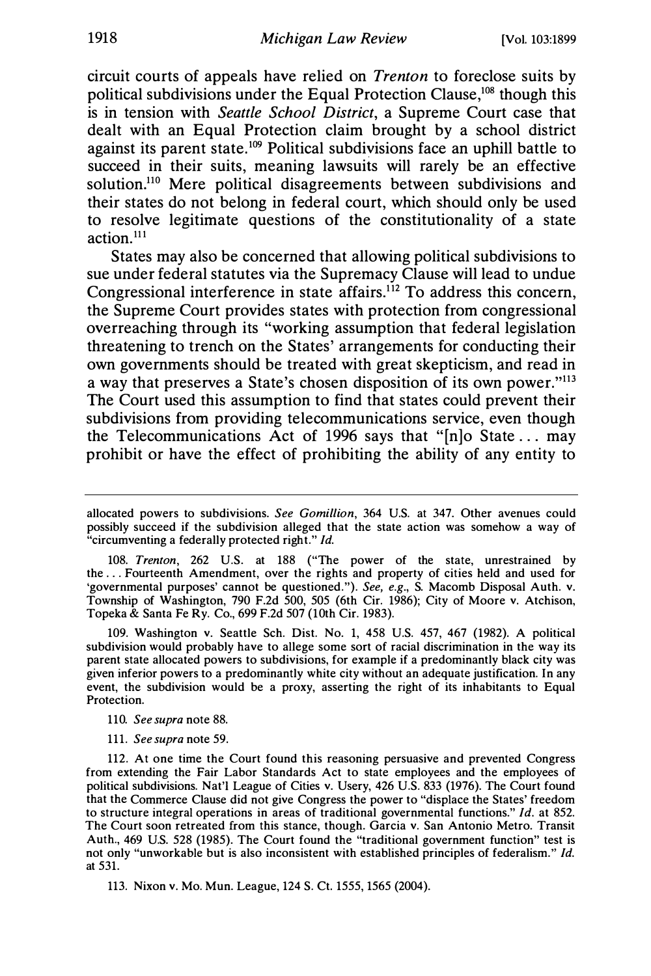circuit courts of appeals have relied on Trenton to foreclose suits by political subdivisions under the Equal Protection Clause,<sup>108</sup> though this is in tension with Seattle School District, a Supreme Court case that dealt with an Equal Protection claim brought by a school district against its parent state. 109 Political subdivisions face an uphill battle to succeed in their suits, meaning lawsuits will rarely be an effective solution.<sup>110</sup> Mere political disagreements between subdivisions and their states do not belong in federal court, which should only be used to resolve legitimate questions of the constitutionality of a state  $\arctan$ <sup>111</sup>

States may also be concerned that allowing political subdivisions to sue under federal statutes via the Supremacy Clause will lead to undue Congressional interference in state affairs.<sup> $112$ </sup> To address this concern, the Supreme Court provides states with protection from congressional overreaching through its "working assumption that federal legislation threatening to trench on the States' arrangements for conducting their own governments should be treated with great skepticism, and read in a way that preserves a State's chosen disposition of its own power."<sup>113</sup> The Court used this assumption to find that states could prevent their subdivisions from providing telecommunications service, even though the Telecommunications Act of 1996 says that "[n]o State ... may prohibit or have the effect of prohibiting the ability of any entity to

108. Trenton, 262 U.S. at 188 ("The power of the state, unrestrained by the ... Fourteenth Amendment, over the rights and property of cities held and used for 'governmental purposes' cannot be questioned."). See, e.g., S. Macomb Disposal Auth. v. Township of Washington, 790 F.2d 500, 505 (6th Cir. 1986); City of Moore v. Atchison, Topeka & Santa Fe Ry. Co., 699 F.2d 507 (10th Cir. 1983).

109. Washington v. Seattle Sch. Dist. No. 1, 458 U.S. 457, 467 (1982). A political subdivision would probably have to allege some sort of racial discrimination in the way its parent state allocated powers to subdivisions, for example if a predominantly black city was given inferior powers to a predominantly white city without an adequate justification. In any event, the subdivision would be a proxy, asserting the right of its inhabitants to Equal Protection.

110. See supra note 88.

111. See supra note 59.

113. Nixon v. Mo. Mun. League, 124 S. Ct. 1555, 1565 (2004).

allocated powers to subdivisions. See Gomillion, 364 U.S. at 347. Other avenues could possibly succeed if the subdivision alleged that the state action was somehow a way of "circumventing a federally protected right." Id.

<sup>112.</sup> At one time the Court found this reasoning persuasive and prevented Congress from extending the Fair Labor Standards Act to state employees and the employees of political subdivisions. Nat'l League of Cities v. Usery, 426 U.S. 833 (1976). The Court found that the Commerce Clause did not give Congress the power to "displace the States' freedom to structure integral operations in areas of traditional governmental functions." Id. at 852. The Court soon retreated from this stance, though. Garcia v. San Antonio Metro. Transit Auth., 469 U.S. 528 (1985). The Court found the "traditional government function" test is not only "unworkable but is also inconsistent with established principles of federalism." Id. at 531.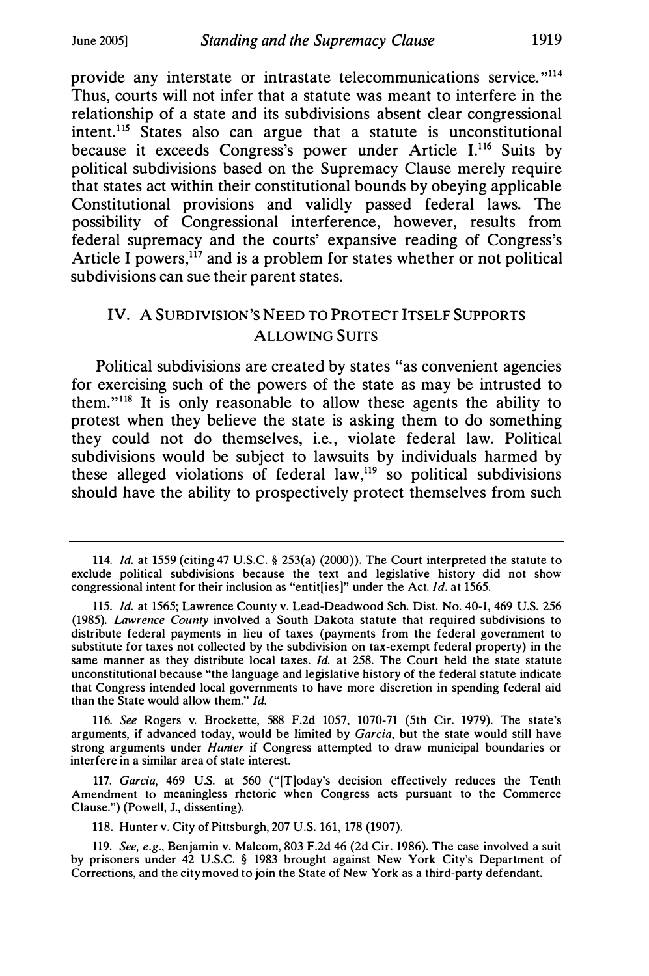provide any interstate or intrastate telecommunications service."<sup>114</sup> Thus, courts will not infer that a statute was meant to interfere in the relationship of a state and its subdivisions absent clear congressional intent.115 States also can argue that a statute is unconstitutional because it exceeds Congress's power under Article I.<sup>116</sup> Suits by political subdivisions based on the Supremacy Clause merely require that states act within their constitutional bounds by obeying applicable Constitutional provisions and validly passed federal laws. The possibility of Congressional interference, however, results from federal supremacy and the courts' expansive reading of Congress's Article I powers,<sup>117</sup> and is a problem for states whether or not political subdivisions can sue their parent states.

## IV. A SUBDIVISION'S NEED TO PROTECT ITSELF SUPPORTS ALLOWING SUITS

Political subdivisions are created by states "as convenient agencies for exercising such of the powers of the state as may be intrusted to them."<sup>118</sup> It is only reasonable to allow these agents the ability to protest when they believe the state is asking them to do something they could not do themselves, i.e., violate federal law. Political subdivisions would be subject to lawsuits by individuals harmed by these alleged violations of federal law, $119$  so political subdivisions should have the ability to prospectively protect themselves from such

116. See Rogers v. Brockette, 588 F.2d 1057, 1070-71 (5th Cir. 1979). The state's arguments, if advanced today, would be limited by Garcia, but the state would still have strong arguments under *Hunter* if Congress attempted to draw municipal boundaries or interfere in a similar area of state interest.

117. Garcia, 469 U.S. at 560 ("[T]oday's decision effectively reduces the Tenth Amendment to meaningless rhetoric when Congress acts pursuant to the Commerce Clause.") (Powell, J., dissenting).

118. Hunter v. City of Pittsburgh, 207 U.S. 161, 178 (1907).

119. See, e.g., Benjamin v. Malcom, 803 F.2d 46 (2d Cir. 1986). The case involved a suit by prisoners under 42 U.S.C. § 1983 brought against New York City's Department of Corrections, and the city moved to join the State of New York as a third-party defendant.

<sup>114.</sup> Id. at 1559 (citing 47 U.S.C. § 253(a) (2000)). The Court interpreted the statute to exclude political subdivisions because the text and legislative history did not show congressional intent for their inclusion as "entit[ies]" under the Act. Id. at 1565.

<sup>115.</sup> Id. at 1565; Lawrence County v. Lead-Deadwood Sch. Dist. No. 40-1, 469 U.S. 256 (1985). Lawrence County involved a South Dakota statute that required subdivisions to distribute federal payments in lieu of taxes (payments from the federal government to substitute for taxes not collected by the subdivision on tax-exempt federal property) in the same manner as they distribute local taxes. Id. at 258. The Court held the state statute unconstitutional because "the language and legislative history of the federal statute indicate that Congress intended local governments to have more discretion in spending federal aid than the State would allow them." Id.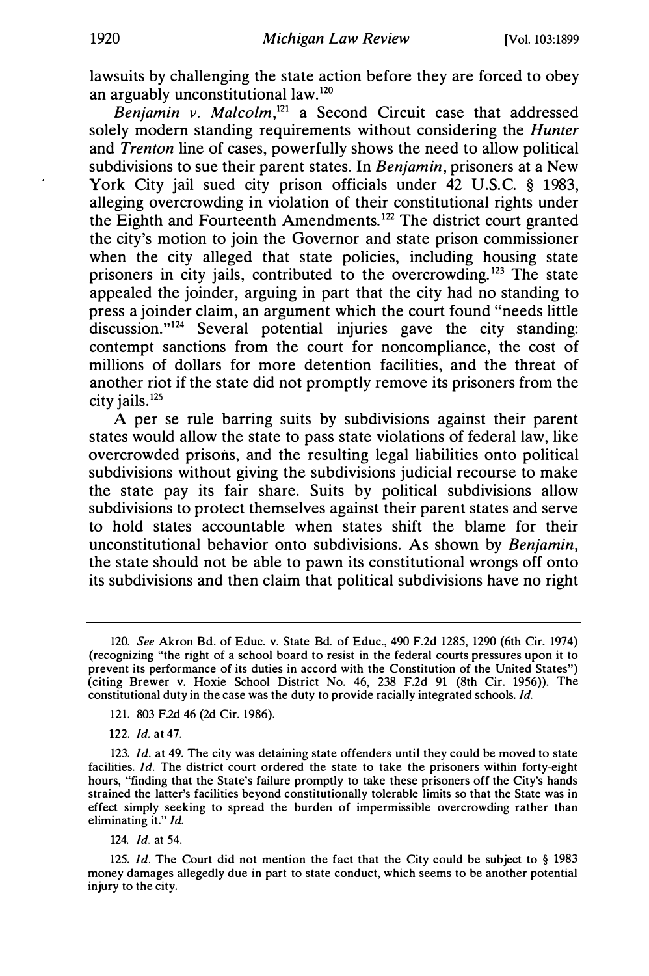lawsuits by challenging the state action before they are forced to obey an arguably unconstitutional law.<sup>120</sup>

Benjamin v. Malcolm, $^{121}$  a Second Circuit case that addressed solely modern standing requirements without considering the *Hunter* and Trenton line of cases, powerfully shows the need to allow political subdivisions to sue their parent states. In Benjamin, prisoners at a New York City jail sued city prison officials under 42 U.S.C. § 1983, alleging overcrowding in violation of their constitutional rights under the Eighth and Fourteenth Amendments.<sup>122</sup> The district court granted the city's motion to join the Governor and state prison commissioner when the city alleged that state policies, including housing state prisoners in city jails, contributed to the overcrowding.<sup>123</sup> The state appealed the joinder, arguing in part that the city had no standing to press a joinder claim, an argument which the court found "needs little discussion." $124$  Several potential injuries gave the city standing: contempt sanctions from the court for noncompliance, the cost of millions of dollars for more detention facilities, and the threat of another riot if the state did not promptly remove its prisoners from the city jails.125

A per se rule barring suits by subdivisions against their parent states would allow the state to pass state violations of federal law, like overcrowded prisons, and the resulting legal liabilities onto political subdivisions without giving the subdivisions judicial recourse to make the state pay its fair share. Suits by political subdivisions allow subdivisions to protect themselves against their parent states and serve to hold states accountable when states shift the blame for their unconstitutional behavior onto subdivisions. As shown by Benjamin, the state should not be able to pawn its constitutional wrongs off onto its subdivisions and then claim that political subdivisions have no right

122. Id. at 47.

124. Id. at 54.

<sup>120.</sup> See Akron Bd. of Educ. v. State Bd. of Educ., 490 F.2d 1285, 1290 (6th Cir. 1974) (recognizing "the right of a school board to resist in the federal courts pressures upon it to prevent its performance of its duties in accord with the Constitution of the United States") (citing Brewer v. Hoxie School District No. 46, 238 F.2d 91 (8th Cir. 1956)). The constitutional duty in the case was the duty to provide racially integrated schools. Id.

<sup>121. 803</sup> F.2d 46 (2d Cir. 1986).

<sup>123.</sup> Id. at 49. The city was detaining state offenders until they could be moved to state facilities. Id. The district court ordered the state to take the prisoners within forty-eight hours, "finding that the State's failure promptly to take these prisoners off the City's hands strained the latter's facilities beyond constitutionally tolerable limits so that the State was in effect simply seeking to spread the burden of impermissible overcrowding rather than eliminating it." Id.

<sup>125.</sup> Id. The Court did not mention the fact that the City could be subject to § 1983 money damages allegedly due in part to state conduct, which seems to be another potential injury to the city.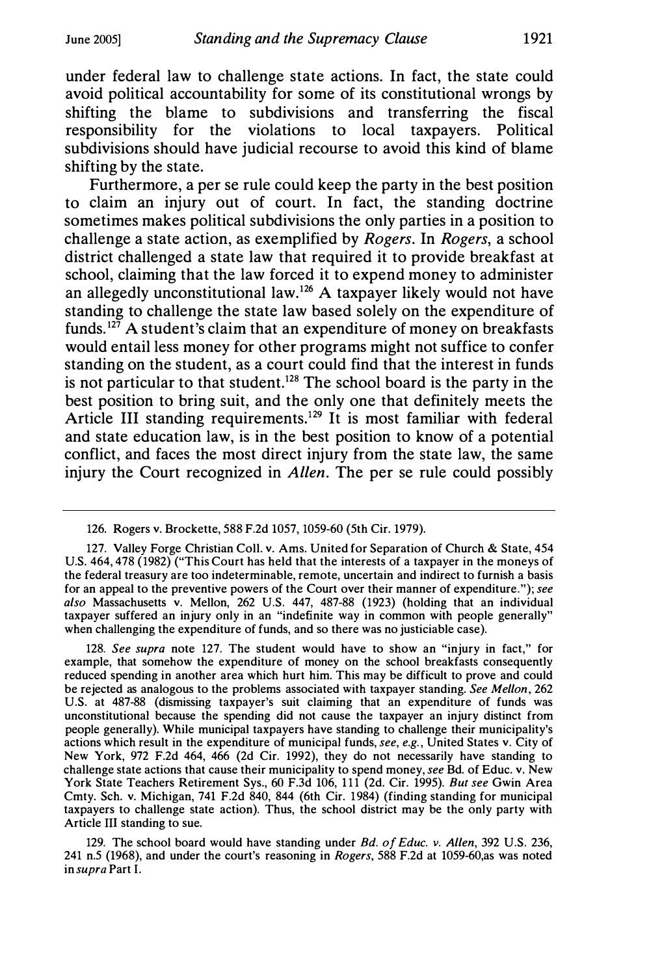under federal law to challenge state actions. In fact, the state could avoid political accountability for some of its constitutional wrongs by shifting the blame to subdivisions and transferring the fiscal responsibility for the violations to local taxpayers. Political subdivisions should have judicial recourse to avoid this kind of blame shifting by the state.

Furthermore, a per se rule could keep the party in the best position to claim an injury out of court. In fact, the standing doctrine sometimes makes political subdivisions the only parties in a position to challenge a state action, as exemplified by Rogers. In Rogers, a school district challenged a state law that required it to provide breakfast at school, claiming that the law forced it to expend money to administer an allegedly unconstitutional law.<sup>126</sup> A taxpayer likely would not have standing to challenge the state law based solely on the expenditure of funds.<sup>127</sup> A student's claim that an expenditure of money on breakfasts would entail less money for other programs might not suffice to confer standing on the student, as a court could find that the interest in funds is not particular to that student.<sup>128</sup> The school board is the party in the best position to bring suit, and the only one that definitely meets the Article III standing requirements.<sup>129</sup> It is most familiar with federal and state education law, is in the best position to know of a potential conflict, and faces the most direct injury from the state law, the same injury the Court recognized in Allen. The per se rule could possibly

128. See supra note 127. The student would have to show an "injury in fact," for example, that somehow the expenditure of money on the school breakfasts consequently reduced spending in another area which hurt him. This may be difficult to prove and could be rejected as analogous to the problems associated with taxpayer standing. See Mellon, 262 U.S. at 487-88 (dismissing taxpayer's suit claiming that an expenditure of funds was unconstitutional because the spending did not cause the taxpayer an injury distinct from people generally). While municipal taxpayers have standing to challenge their municipality's actions which result in the expenditure of municipal funds, see, e.g., United States v. City of New York, 972 F.2d 464, 466 (2d Cir. 1992), they do not necessarily have standing to challenge state actions that cause their municipality to spend money, see Bd. of Educ. v. New York State Teachers Retirement Sys., 60 F.3d 106, 111 (2d. Cir. 1995). But see Gwin Area Cmty. Sch. v. Michigan, 741 F.2d 840, 844 (6th Cir. 1984) (finding standing for municipal taxpayers to challenge state action). Thus, the school district may be the only party with Article III standing to sue.

129. The school board would have standing under Bd. of Educ. v. Allen, 392 U.S. 236, 241 n.5 (1968), and under the court's reasoning in Rogers, 588 F.2d at 1059-60,as was noted in supra Part I.

<sup>126.</sup> Rogers v. Brockette, 588 F.2d 1057, 1059-60 (5th Cir. 1979).

<sup>127.</sup> Valley Forge Christian Coll. v. Ams. United for Separation of Church & State, 454 U.S. 464, 478 (1982) ("This Court has held that the interests of a taxpayer in the moneys of the federal treasury are too indeterminable, remote, uncertain and indirect to furnish a basis for an appeal to the preventive powers of the Court over their manner of expenditure."); see also Massachusetts v. Mellon, 262 U.S. 447, 487-88 (1923) (holding that an individual taxpayer suffered an injury only in an "indefinite way in common with people generally" when challenging the expenditure of funds, and so there was no justiciable case).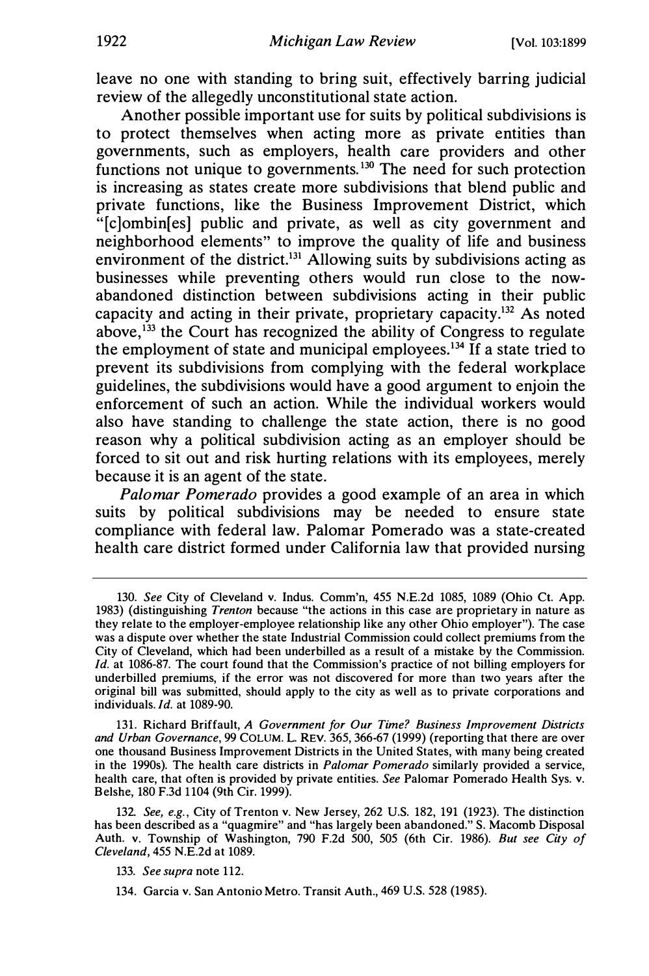leave no one with standing to bring suit, effectively barring judicial review of the allegedly unconstitutional state action.

Another possible important use for suits by political subdivisions is to protect themselves when acting more as private entities than governments, such as employers, health care providers and other functions not unique to governments.<sup>130</sup> The need for such protection is increasing as states create more subdivisions that blend public and private functions, like the Business Improvement District, which "[c]ombin[es] public and private, as well as city government and neighborhood elements" to improve the quality of life and business environment of the district.<sup>131</sup> Allowing suits by subdivisions acting as businesses while preventing others would run close to the nowabandoned distinction between subdivisions acting in their public capacity and acting in their private, proprietary capacity.<sup>132</sup> As noted above,  $133$  the Court has recognized the ability of Congress to regulate the employment of state and municipal employees.<sup>134</sup> If a state tried to prevent its subdivisions from complying with the federal workplace guidelines, the subdivisions would have a good argument to enjoin the enforcement of such an action. While the individual workers would also have standing to challenge the state action, there is no good reason why a political subdivision acting as an employer should be forced to sit out and risk hurting relations with its employees, merely because it is an agent of the state.

Palomar Pomerado provides a good example of an area in which suits by political subdivisions may be needed to ensure state compliance with federal law. Palomar Pomerado was a state-created health care district formed under California law that provided nursing

131. Richard Briffault, A Government for Our Time? Business Improvement Districts and Urban Governance, 99 COLUM. L. REV. 365, 366-67 (1999) (reporting that there are over one thousand Business Improvement Districts in the United States, with many being created in the 1990s). The health care districts in Palomar Pomerado similarly provided a service, health care, that often is provided by private entities. See Palomar Pomerado Health Sys. v. Belshe, 180 F.3d 1104 (9th Cir. 1999).

132. See, e.g., City of Trenton v. New Jersey, 262 U.S. 182, 191 (1923). The distinction has been described as a "quagmire" and "has largely been abandoned." S. Macomb Disposal Auth. v. Township of Washington, 790 F.2d 500, 505 (6th Cir. 1986). But see City of Cleveland, 455 N.E.2d at 1089.

134. Garcia v. San Antonio Metro. Transit Auth., 469 U.S. 528 (1985).

<sup>130.</sup> See City of Cleveland v. Indus. Comm'n, 455 N.E.2d 1085, 1089 (Ohio Ct. App. 1983) (distinguishing Trenton because "the actions in this case are proprietary in nature as they relate to the employer-employee relationship like any other Ohio employer"). The case was a dispute over whether the state Industrial Commission could collect premiums from the City of Cleveland, which had been underbilled as a result of a mistake by the Commission. Id. at 1086-87. The court found that the Commission's practice of not billing employers for underbilled premiums, if the error was not discovered for more than two years after the original bill was submitted, should apply to the city as well as to private corporations and individuals. Id. at 1089-90.

<sup>133.</sup> See supra note 112.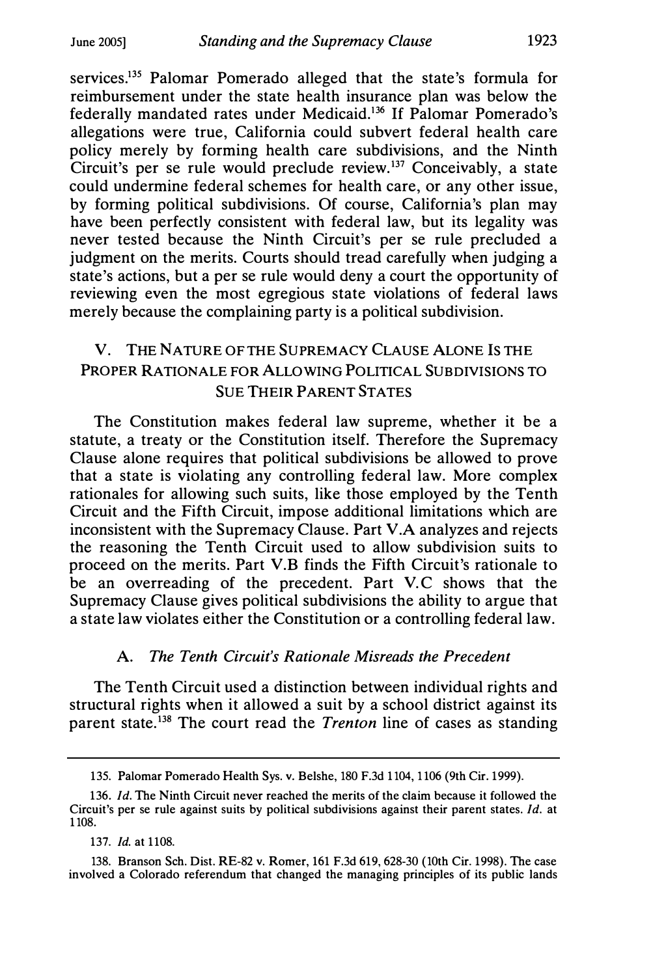services.<sup>135</sup> Palomar Pomerado alleged that the state's formula for reimbursement under the state health insurance plan was below the federally mandated rates under Medicaid.<sup>136</sup> If Palomar Pomerado's allegations were true, California could subvert federal health care policy merely by forming health care subdivisions, and the Ninth Circuit's per se rule would preclude review.<sup>137</sup> Conceivably, a state could undermine federal schemes for health care, or any other issue, by forming political subdivisions. Of course, California's plan may have been perfectly consistent with federal law, but its legality was never tested because the Ninth Circuit's per se rule precluded a judgment on the merits. Courts should tread carefully when judging a state's actions, but a per se rule would deny a court the opportunity of reviewing even the most egregious state violations of federal laws merely because the complaining party is a political subdivision.

## V. THE NATURE OF THE SUPREMACY CLAUSE ALONE IS THE PROPER RATIONALE FOR ALLOWING POLITICAL SUBDIVISIONS TO **SUE THEIR PARENT STATES**

The Constitution makes federal law supreme, whether it be a statute, a treaty or the Constitution itself. Therefore the Supremacy Clause alone requires that political subdivisions be allowed to prove that a state is violating any controlling federal law. More complex rationales for allowing such suits, like those employed by the Tenth Circuit and the Fifth Circuit, impose additional limitations which are inconsistent with the Supremacy Clause. Part V.A analyzes and rejects the reasoning the Tenth Circuit used to allow subdivision suits to proceed on the merits. Part V.B finds the Fifth Circuit's rationale to be an overreading of the precedent. Part V.C shows that the Supremacy Clause gives political subdivisions the ability to argue that a state law violates either the Constitution or a controlling federal law.

### A. The Tenth Circuit's Rationale Misreads the Precedent

The Tenth Circuit used a distinction between individual rights and structural rights when it allowed a suit by a school district against its parent state.<sup>138</sup> The court read the *Trenton* line of cases as standing

137. Id. at 1108.

<sup>135.</sup> Palomar Pomerado Health Sys. v. Belshe, 180 F.3d 1104, 1 106 (9th Cir. 1999).

<sup>136.</sup> Id. The Ninth Circuit never reached the merits of the claim because it followed the Circuit's per se rule against suits by political subdivisions against their parent states. Id. at 1108.

<sup>138.</sup> Branson Sch. Dist. RE-82 v. Romer, 161 F.3d 619, 628-30 (10th Cir. 1998). The case involved a Colorado referendum that changed the managing principles of its public lands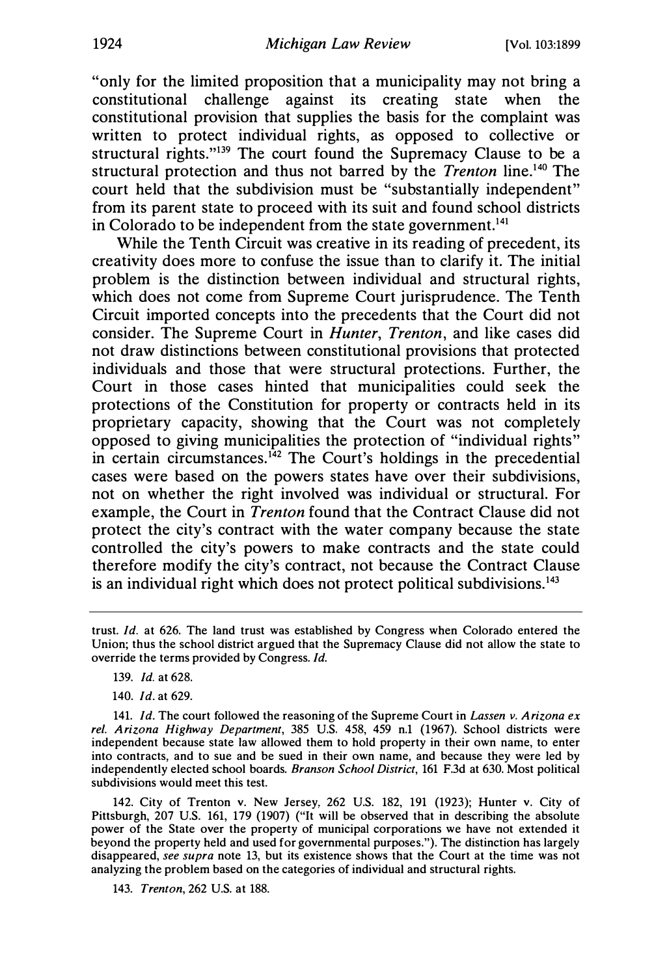"only for the limited proposition that a municipality may not bring a constitutional challenge against its creating state when the constitutional provision that supplies the basis for the complaint was written to protect individual rights, as opposed to collective or structural rights."139 The court found the Supremacy Clause to be a structural protection and thus not barred by the *Trenton* line.<sup>140</sup> The court held that the subdivision must be "substantially independent" from its parent state to proceed with its suit and found school districts in Colorado to be independent from the state government.<sup>141</sup>

While the Tenth Circuit was creative in its reading of precedent, its creativity does more to confuse the issue than to clarify it. The initial problem is the distinction between individual and structural rights, which does not come from Supreme Court jurisprudence. The Tenth Circuit imported concepts into the precedents that the Court did not consider. The Supreme Court in Hunter, Trenton, and like cases did not draw distinctions between constitutional provisions that protected individuals and those that were structural protections. Further, the Court in those cases hinted that municipalities could seek the protections of the Constitution for property or contracts held in its proprietary capacity, showing that the Court was not completely opposed to giving municipalities the protection of "individual rights" in certain circumstances.<sup>142</sup> The Court's holdings in the precedential cases were based on the powers states have over their subdivisions, not on whether the right involved was individual or structural. For example, the Court in Trenton found that the Contract Clause did not protect the city's contract with the water company because the state controlled the city's powers to make contracts and the state could therefore modify the city's contract, not because the Contract Clause is an individual right which does not protect political subdivisions.<sup>143</sup>

- 139. Id. at 628.
- 140. Id. at 629.

141. Id. The court followed the reasoning of the Supreme Court in Lassen v. Arizona ex rel. Arizona Highway Department, 385 U.S. 458, 459 n.1 (1967). School districts were independent because state law allowed them to hold property in their own name, to enter into contracts, and to sue and be sued in their own name, and because they were led by independently elected school boards. Branson School District, 161 F.3d at 630. Most political subdivisions would meet this test.

142. City of Trenton v. New Jersey, 262 U.S. 182, 191 (1923); Hunter v. City of Pittsburgh, 207 U.S. 161, 179 (1907) ("It will be observed that in describing the absolute power of the State over the property of municipal corporations we have not extended it beyond the property held and used for governmental purposes."). The distinction has largely disappeared, see supra note 13, but its existence shows that the Court at the time was not analyzing the problem based on the categories of individual and structural rights.

143. Trenton, 262 U.S. at 188.

trust. Id. at 626. The land trust was established by Congress when Colorado entered the Union; thus the school district argued that the Supremacy Clause did not allow the state to override the terms provided by Congress. Id.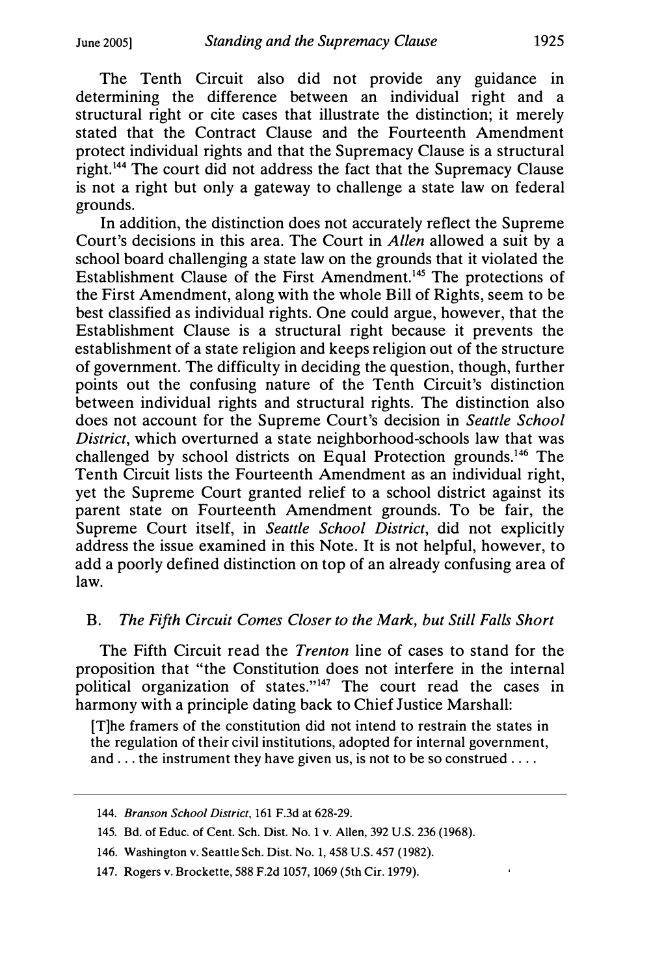The Tenth Circuit also did not provide any guidance in determining the difference between an individual right and a structural right or cite cases that illustrate the distinction; it merely stated that the Contract Clause and the Fourteenth Amendment protect individual rights and that the Supremacy Clause is a structural right. 144 The court did not address the fact that the Supremacy Clause is not a right but only a gateway to challenge a state law on federal grounds.

In addition, the distinction does not accurately reflect the Supreme Court's decisions in this area. The Court in Allen allowed a suit by a school board challenging a state law on the grounds that it violated the Establishment Clause of the First Amendment.<sup>145</sup> The protections of the First Amendment, along with the whole Bill of Rights, seem to be best classified as individual rights. One could argue, however, that the Establishment Clause is a structural right because it prevents the establishment of a state religion and keeps religion out of the structure of government. The difficulty in deciding the question, though, further points out the confusing nature of the Tenth Circuit's distinction between individual rights and structural rights. The distinction also does not account for the Supreme Court's decision in Seattle School District, which overturned a state neighborhood-schools law that was challenged by school districts on Equal Protection grounds.<sup>146</sup> The Tenth Circuit lists the Fourteenth Amendment as an individual right, yet the Supreme Court granted relief to a school district against its parent state on Fourteenth Amendment grounds. To be fair, the Supreme Court itself, in Seattle School District, did not explicitly address the issue examined in this Note. It is not helpful, however, to add a poorly defined distinction on top of an already confusing area of law.

#### B. The Fifth Circuit Comes Closer to the Mark, but Still Falls Short

The Fifth Circuit read the Trenton line of cases to stand for the proposition that "the Constitution does not interfere in the internal political organization of states."<sup>147</sup> The court read the cases in harmony with a principle dating back to Chief Justice Marshall:

[T]he framers of the constitution did not intend to restrain the states in the regulation of their civil institutions, adopted for internal government, and ... the instrument they have given us, is not to be so construed ....

<sup>144.</sup> Branson School District, 161 F.3d at 628-29.

<sup>145.</sup> Bd. of Educ. of Cent. Sch. Dist. No. 1 v. Allen, 392 U.S. 236 (1968).

<sup>146.</sup> Washington v. Seattle Sch. Dist. No. 1, 458 U.S. 457 (1982).

<sup>147.</sup> Rogers v. Brockette, 588 F.2d 1057, 1069 (5th Cir. 1979).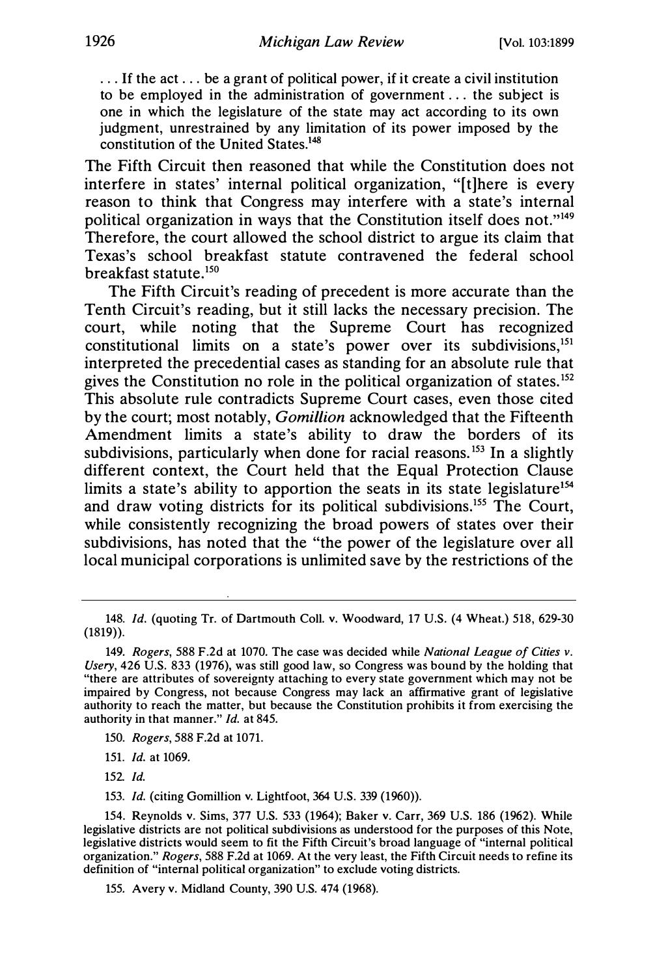... If the act ... be a grant of political power, if it create a civil institution to be employed in the administration of government ... the subject is one in which the legislature of the state may act according to its own judgment, unrestrained by any limitation of its power imposed by the constitution of the United States.148

The Fifth Circuit then reasoned that while the Constitution does not interfere in states' internal political organization, "[t]here is every reason to think that Congress may interfere with a state's internal political organization in ways that the Constitution itself does not."149 Therefore, the court allowed the school district to argue its claim that Texas's school breakfast statute contravened the federal school breakfast statute.<sup>150</sup>

The Fifth Circuit's reading of precedent is more accurate than the Tenth Circuit's reading, but it still lacks the necessary precision. The court, while noting that the Supreme Court has recognized constitutional limits on a state's power over its subdivisions,  $151$ interpreted the precedential cases as standing for an absolute rule that gives the Constitution no role in the political organization of states.<sup>152</sup> This absolute rule contradicts Supreme Court cases, even those cited by the court; most notably, *Gomillion* acknowledged that the Fifteenth Amendment limits a state's ability to draw the borders of its subdivisions, particularly when done for racial reasons.<sup>153</sup> In a slightly different context, the Court held that the Equal Protection Clause limits a state's ability to apportion the seats in its state legislature<sup>154</sup> and draw voting districts for its political subdivisions.<sup>155</sup> The Court, while consistently recognizing the broad powers of states over their subdivisions, has noted that the "the power of the legislature over all local municipal corporations is unlimited save by the restrictions of the

153. Id. (citing Gomillion v. Lightfoot, 364 U.S. 339 (1960)).

<sup>148.</sup> Id. (quoting Tr. of Dartmouth Coll. v. Woodward, 17 U.S. (4 Wheat.) 518, 629-30 (1819)).

<sup>149.</sup> Rogers, 588 F.2d at 1070. The case was decided while National League of Cities v. Usery, 426 U.S. 833 (1976), was still good law, so Congress was bound by the holding that "there are attributes of sovereignty attaching to every state government which may not be impaired by Congress, not because Congress may lack an affirmative grant of legislative authority to reach the matter, but because the Constitution prohibits it from exercising the authority in that manner." Id. at 845.

<sup>150.</sup> Rogers, 588 F.2d at 1071.

<sup>151.</sup> Id. at 1069.

<sup>152</sup> Id.

<sup>154.</sup> Reynolds v. Sims, 377 U.S. 533 (1964); Baker v. Carr, 369 U.S. 186 (1962). While legislative districts are not political subdivisions as understood for the purposes of this Note, legislative districts would seem to fit the Fifth Circuit's broad language of "internal political organization." Rogers, 588 F.2d at 1069. At the very least, the Fifth Circuit needs to refine its definition of "internal political organization" to exclude voting districts.

<sup>155.</sup> Avery v. Midland County, 390 U.S. 474 (1968).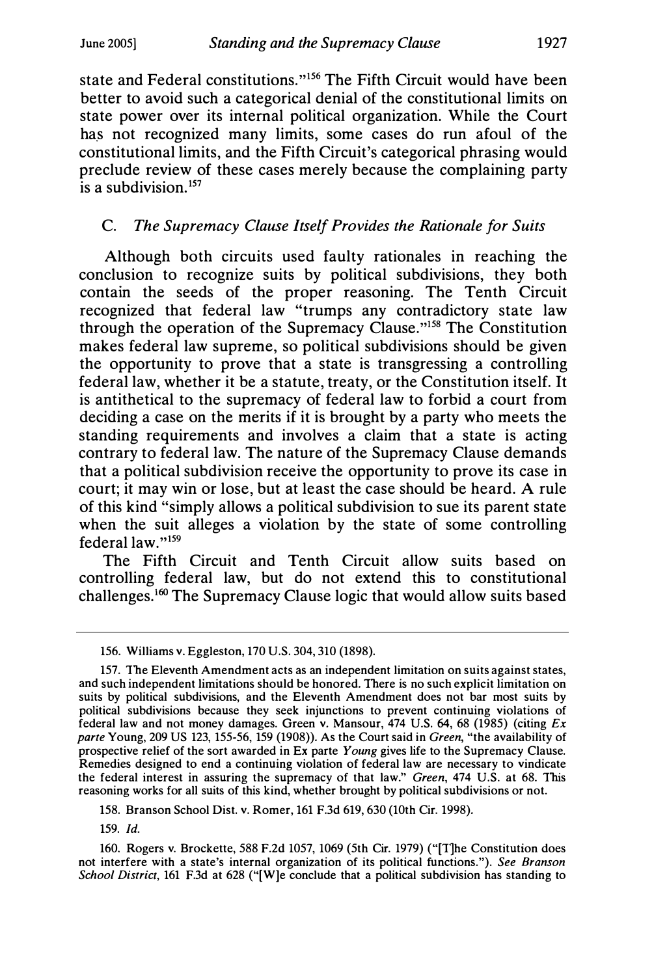state and Federal constitutions."<sup>156</sup> The Fifth Circuit would have been better to avoid such a categorical denial of the constitutional limits on state power over its internal political organization. While the Court has not recognized many limits, some cases do run afoul of the constitutional limits, and the Fifth Circuit's categorical phrasing would preclude review of these cases merely because the complaining party  $\overline{a}$  subdivision  $157$ 

## C. The Supremacy Clause Itself Provides the Rationale for Suits

Although both circuits used faulty rationales in reaching the conclusion to recognize suits by political subdivisions, they both contain the seeds of the proper reasoning. The Tenth Circuit recognized that federal law "trumps any contradictory state law through the operation of the Supremacy Clause."<sup>158</sup> The Constitution makes federal law supreme, so political subdivisions should be given the opportunity to prove that a state is transgressing a controlling federal law, whether it be a statute, treaty, or the Constitution itself. It is antithetical to the supremacy of federal law to forbid a court from deciding a case on the merits if it is brought by a party who meets the standing requirements and involves a claim that a state is acting contrary to federal law. The nature of the Supremacy Clause demands that a political subdivision receive the opportunity to prove its case in court; it may win or lose, but at least the case should be heard. A rule of this kind "simply allows a political subdivision to sue its parent state when the suit alleges a violation by the state of some controlling federal law."<sup>159</sup>

The Fifth Circuit and Tenth Circuit allow suits based on controlling federal law, but do not extend this to constitutional challenges.<sup>160</sup> The Supremacy Clause logic that would allow suits based

158. Branson School Dist. v. Romer, 161 F.3d 619, 630 (10th Cir. 1998).

159. Id.

160. Rogers v. Brockette, 588 F.2d 1057, 1069 (5th Cir. 1979) ("[T)he Constitution does not interfere with a state's internal organization of its political functions."). See Branson School District, 161 F.3d at 628 ("[W]e conclude that a political subdivision has standing to

<sup>156.</sup> Williams v. Eggleston, 170 U.S. 304, 310 (1898).

<sup>157.</sup> The Eleventh Amendment acts as an independent limitation on suits against states, and such independent limitations should be honored. There is no such explicit limitation on suits by political subdivisions, and the Eleventh Amendment does not bar most suits by political subdivisions because they seek injunctions to prevent continuing violations of federal law and not money damages. Green v. Mansour, 474 U.S. 64, 68 (1985) (citing Ex parte Young, 209 US 123, 155-56, 159 (1908)). As the Court said in Green, "the availability of parte Young, 200 00 120, 100 00, 100 (1900)). As the court said in Orech, the availability of prospective relief of the sort awarded in Ex parte Young gives life to the Supremacy Clause. Remedies designed to end a continuing violation of federal law are necessary to vindicate the federal interest in assuring the supremacy of that law." Green, 474 U.S. at 68. This reasoning works for all suits of this kind, whether brought by political subdivisions or not.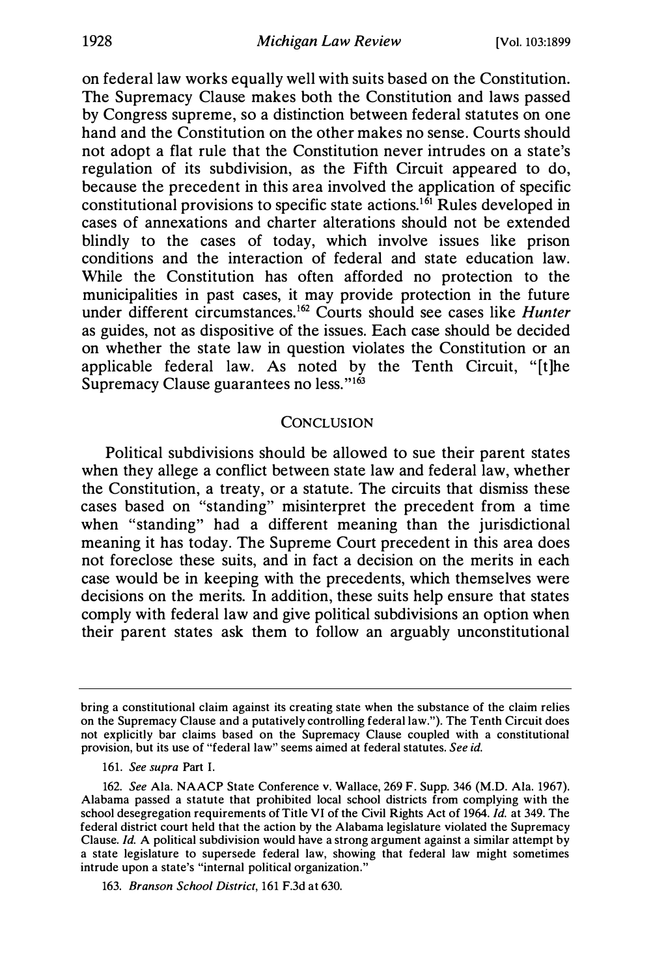on federal law works equally well with suits based on the Constitution. The Supremacy Clause makes both the Constitution and laws passed by Congress supreme, so a distinction between federal statutes on one hand and the Constitution on the other makes no sense. Courts should not adopt a flat rule that the Constitution never intrudes on a state's regulation of its subdivision, as the Fifth Circuit appeared to do, because the precedent in this area involved the application of specific constitutional provisions to specific state actions.<sup>161</sup> Rules developed in cases of annexations and charter alterations should not be extended blindly to the cases of today, which involve issues like prison conditions and the interaction of federal and state education law. While the Constitution has often afforded no protection to the municipalities in past cases, it may provide protection in the future under different circumstances.<sup>162</sup> Courts should see cases like *Hunter* as guides, not as dispositive of the issues. Each case should be decided on whether the state law in question violates the Constitution or an applicable federal law. As noted by the Tenth Circuit, "[t]he Supremacy Clause guarantees no less."<sup>163</sup>

#### **CONCLUSION**

Political subdivisions should be allowed to sue their parent states when they allege a conflict between state law and federal law, whether the Constitution, a treaty, or a statute. The circuits that dismiss these cases based on "standing" misinterpret the precedent from a time when "standing" had a different meaning than the jurisdictional meaning it has today. The Supreme Court precedent in this area does not foreclose these suits, and in fact a decision on the merits in each case would be in keeping with the precedents, which themselves were decisions on the merits. In addition, these suits help ensure that states comply with federal law and give political subdivisions an option when their parent states ask them to follow an arguably unconstitutional

bring a constitutional claim against its creating state when the substance of the claim relies on the Supremacy Clause and a putatively controlling federal law."). The Tenth Circuit does not explicitly bar claims based on the Supremacy Clause coupled with a constitutional provision, but its use of "federal law" seems aimed at federal statutes. See id.

<sup>161.</sup> See supra Part I.

<sup>162.</sup> See Ala. NAACP State Conference v. Wallace, 269 F. Supp. 346 (M.D. Ala. 1967). Alabama passed a statute that prohibited local school districts from complying with the school desegregation requirements of Title VI of the Civil Rights Act of 1964. Id. at 349. The federal district court held that the action by the Alabama legislature violated the Supremacy Clause. Id. A political subdivision would have a strong argument against a similar attempt by a state legislature to supersede federal law, showing that federal law might sometimes intrude upon a state's "internal political organization."

<sup>163.</sup> Branson School District, 161 F.3d at 630.